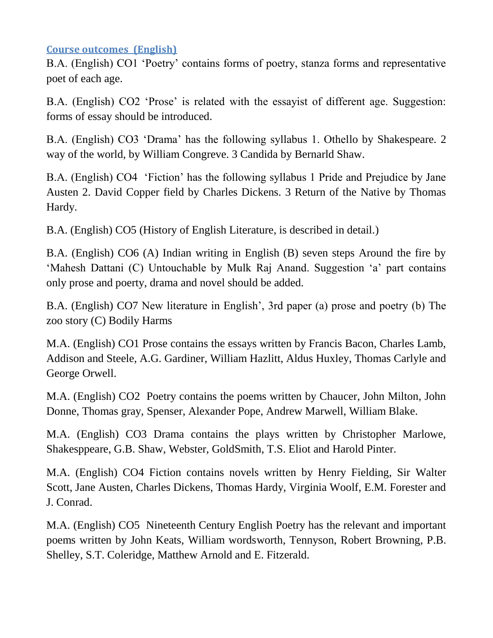## **Course outcomes (English)**

B.A. (English) CO1 'Poetry' contains forms of poetry, stanza forms and representative poet of each age.

B.A. (English) CO2 'Prose' is related with the essayist of different age. Suggestion: forms of essay should be introduced.

B.A. (English) CO3 'Drama' has the following syllabus 1. Othello by Shakespeare. 2 way of the world, by William Congreve. 3 Candida by Bernarld Shaw.

B.A. (English) CO4 'Fiction' has the following syllabus 1 Pride and Prejudice by Jane Austen 2. David Copper field by Charles Dickens. 3 Return of the Native by Thomas Hardy.

B.A. (English) CO5 (History of English Literature, is described in detail.)

B.A. (English) CO6 (A) Indian writing in English (B) seven steps Around the fire by 'Mahesh Dattani (C) Untouchable by Mulk Raj Anand. Suggestion 'a' part contains only prose and poerty, drama and novel should be added.

B.A. (English) CO7 New literature in English', 3rd paper (a) prose and poetry (b) The zoo story (C) Bodily Harms

M.A. (English) CO1 Prose contains the essays written by Francis Bacon, Charles Lamb, Addison and Steele, A.G. Gardiner, William Hazlitt, Aldus Huxley, Thomas Carlyle and George Orwell.

M.A. (English) CO2 Poetry contains the poems written by Chaucer, John Milton, John Donne, Thomas gray, Spenser, Alexander Pope, Andrew Marwell, William Blake.

M.A. (English) CO3 Drama contains the plays written by Christopher Marlowe, Shakesppeare, G.B. Shaw, Webster, GoldSmith, T.S. Eliot and Harold Pinter.

M.A. (English) CO4 Fiction contains novels written by Henry Fielding, Sir Walter Scott, Jane Austen, Charles Dickens, Thomas Hardy, Virginia Woolf, E.M. Forester and J. Conrad.

M.A. (English) CO5 Nineteenth Century English Poetry has the relevant and important poems written by John Keats, William wordsworth, Tennyson, Robert Browning, P.B. Shelley, S.T. Coleridge, Matthew Arnold and E. Fitzerald.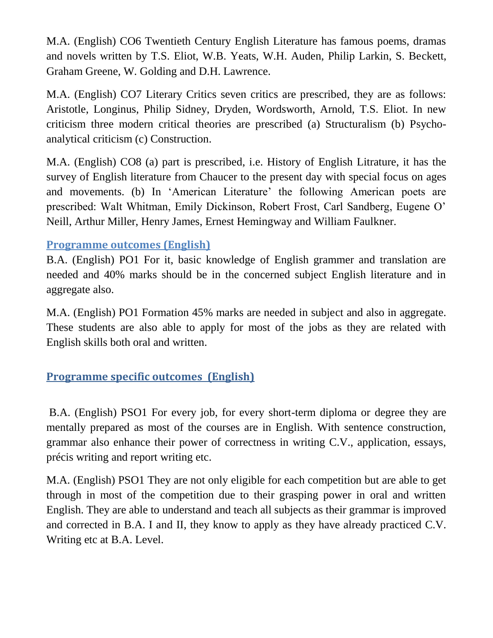M.A. (English) CO6 Twentieth Century English Literature has famous poems, dramas and novels written by T.S. Eliot, W.B. Yeats, W.H. Auden, Philip Larkin, S. Beckett, Graham Greene, W. Golding and D.H. Lawrence.

M.A. (English) CO7 Literary Critics seven critics are prescribed, they are as follows: Aristotle, Longinus, Philip Sidney, Dryden, Wordsworth, Arnold, T.S. Eliot. In new criticism three modern critical theories are prescribed (a) Structuralism (b) Psychoanalytical criticism (c) Construction.

M.A. (English) CO8 (a) part is prescribed, i.e. History of English Litrature, it has the survey of English literature from Chaucer to the present day with special focus on ages and movements. (b) In 'American Literature' the following American poets are prescribed: Walt Whitman, Emily Dickinson, Robert Frost, Carl Sandberg, Eugene O' Neill, Arthur Miller, Henry James, Ernest Hemingway and William Faulkner.

## **Programme outcomes (English)**

B.A. (English) PO1 For it, basic knowledge of English grammer and translation are needed and 40% marks should be in the concerned subject English literature and in aggregate also.

M.A. (English) PO1 Formation 45% marks are needed in subject and also in aggregate. These students are also able to apply for most of the jobs as they are related with English skills both oral and written.

## **Programme specific outcomes (English)**

B.A. (English) PSO1 For every job, for every short-term diploma or degree they are mentally prepared as most of the courses are in English. With sentence construction, grammar also enhance their power of correctness in writing C.V., application, essays, précis writing and report writing etc.

M.A. (English) PSO1 They are not only eligible for each competition but are able to get through in most of the competition due to their grasping power in oral and written English. They are able to understand and teach all subjects as their grammar is improved and corrected in B.A. I and II, they know to apply as they have already practiced C.V. Writing etc at B.A. Level.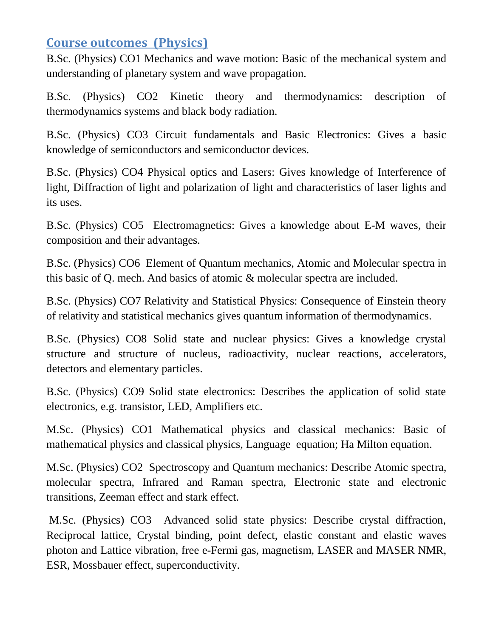# **Course outcomes (Physics)**

B.Sc. (Physics) CO1 Mechanics and wave motion: Basic of the mechanical system and understanding of planetary system and wave propagation.

B.Sc. (Physics) CO2 Kinetic theory and thermodynamics: description of thermodynamics systems and black body radiation.

B.Sc. (Physics) CO3 Circuit fundamentals and Basic Electronics: Gives a basic knowledge of semiconductors and semiconductor devices.

B.Sc. (Physics) CO4 Physical optics and Lasers: Gives knowledge of Interference of light, Diffraction of light and polarization of light and characteristics of laser lights and its uses.

B.Sc. (Physics) CO5 Electromagnetics: Gives a knowledge about E-M waves, their composition and their advantages.

B.Sc. (Physics) CO6 Element of Quantum mechanics, Atomic and Molecular spectra in this basic of Q. mech. And basics of atomic & molecular spectra are included.

B.Sc. (Physics) CO7 Relativity and Statistical Physics: Consequence of Einstein theory of relativity and statistical mechanics gives quantum information of thermodynamics.

B.Sc. (Physics) CO8 Solid state and nuclear physics: Gives a knowledge crystal structure and structure of nucleus, radioactivity, nuclear reactions, accelerators, detectors and elementary particles.

B.Sc. (Physics) CO9 Solid state electronics: Describes the application of solid state electronics, e.g. transistor, LED, Amplifiers etc.

M.Sc. (Physics) CO1 Mathematical physics and classical mechanics: Basic of mathematical physics and classical physics, Language equation; Ha Milton equation.

M.Sc. (Physics) CO2 Spectroscopy and Quantum mechanics: Describe Atomic spectra, molecular spectra, Infrared and Raman spectra, Electronic state and electronic transitions, Zeeman effect and stark effect.

M.Sc. (Physics) CO3 Advanced solid state physics: Describe crystal diffraction, Reciprocal lattice, Crystal binding, point defect, elastic constant and elastic waves photon and Lattice vibration, free e-Fermi gas, magnetism, LASER and MASER NMR, ESR, Mossbauer effect, superconductivity.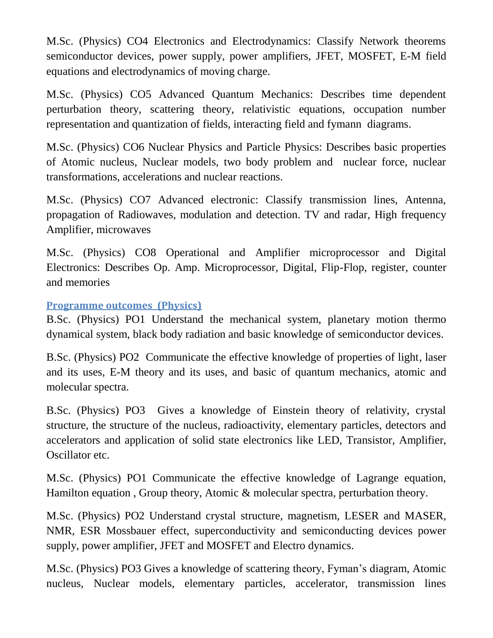M.Sc. (Physics) CO4 Electronics and Electrodynamics: Classify Network theorems semiconductor devices, power supply, power amplifiers, JFET, MOSFET, E-M field equations and electrodynamics of moving charge.

M.Sc. (Physics) CO5 Advanced Quantum Mechanics: Describes time dependent perturbation theory, scattering theory, relativistic equations, occupation number representation and quantization of fields, interacting field and fymann diagrams.

M.Sc. (Physics) CO6 Nuclear Physics and Particle Physics: Describes basic properties of Atomic nucleus, Nuclear models, two body problem and nuclear force, nuclear transformations, accelerations and nuclear reactions.

M.Sc. (Physics) CO7 Advanced electronic: Classify transmission lines, Antenna, propagation of Radiowaves, modulation and detection. TV and radar, High frequency Amplifier, microwaves

M.Sc. (Physics) CO8 Operational and Amplifier microprocessor and Digital Electronics: Describes Op. Amp. Microprocessor, Digital, Flip-Flop, register, counter and memories

### **Programme outcomes (Physics)**

B.Sc. (Physics) PO1 Understand the mechanical system, planetary motion thermo dynamical system, black body radiation and basic knowledge of semiconductor devices.

B.Sc. (Physics) PO2 Communicate the effective knowledge of properties of light, laser and its uses, E-M theory and its uses, and basic of quantum mechanics, atomic and molecular spectra.

B.Sc. (Physics) PO3 Gives a knowledge of Einstein theory of relativity, crystal structure, the structure of the nucleus, radioactivity, elementary particles, detectors and accelerators and application of solid state electronics like LED, Transistor, Amplifier, Oscillator etc.

M.Sc. (Physics) PO1 Communicate the effective knowledge of Lagrange equation, Hamilton equation , Group theory, Atomic & molecular spectra, perturbation theory.

M.Sc. (Physics) PO2 Understand crystal structure, magnetism, LESER and MASER, NMR, ESR Mossbauer effect, superconductivity and semiconducting devices power supply, power amplifier, JFET and MOSFET and Electro dynamics.

M.Sc. (Physics) PO3 Gives a knowledge of scattering theory, Fyman's diagram, Atomic nucleus, Nuclear models, elementary particles, accelerator, transmission lines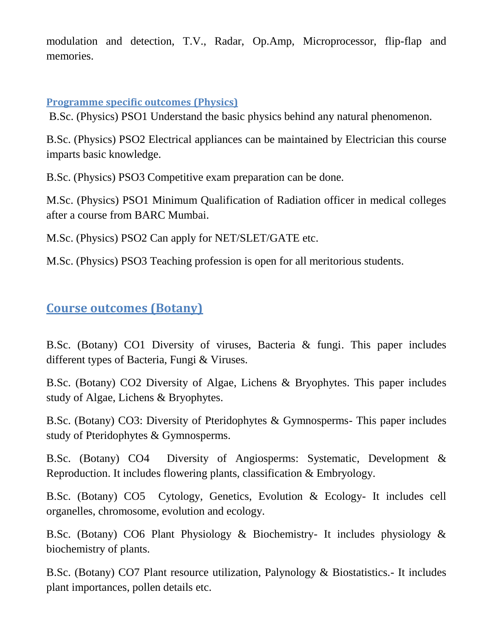modulation and detection, T.V., Radar, Op.Amp, Microprocessor, flip-flap and memories.

### **Programme specific outcomes (Physics)**

B.Sc. (Physics) PSO1 Understand the basic physics behind any natural phenomenon.

B.Sc. (Physics) PSO2 Electrical appliances can be maintained by Electrician this course imparts basic knowledge.

B.Sc. (Physics) PSO3 Competitive exam preparation can be done.

M.Sc. (Physics) PSO1 Minimum Qualification of Radiation officer in medical colleges after a course from BARC Mumbai.

M.Sc. (Physics) PSO2 Can apply for NET/SLET/GATE etc.

M.Sc. (Physics) PSO3 Teaching profession is open for all meritorious students.

# **Course outcomes (Botany)**

B.Sc. (Botany) CO1 Diversity of viruses, Bacteria & fungi. This paper includes different types of Bacteria, Fungi & Viruses.

B.Sc. (Botany) CO2 Diversity of Algae, Lichens & Bryophytes. This paper includes study of Algae, Lichens & Bryophytes.

B.Sc. (Botany) CO3: Diversity of Pteridophytes & Gymnosperms- This paper includes study of Pteridophytes & Gymnosperms.

B.Sc. (Botany) CO4 Diversity of Angiosperms: Systematic, Development & Reproduction. It includes flowering plants, classification & Embryology.

B.Sc. (Botany) CO5 Cytology, Genetics, Evolution & Ecology- It includes cell organelles, chromosome, evolution and ecology.

B.Sc. (Botany) CO6 Plant Physiology & Biochemistry- It includes physiology & biochemistry of plants.

B.Sc. (Botany) CO7 Plant resource utilization, Palynology & Biostatistics.- It includes plant importances, pollen details etc.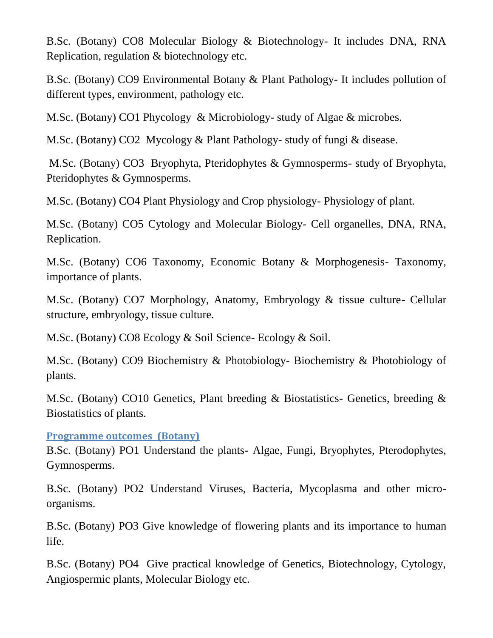B.Sc. (Botany) CO8 Molecular Biology & Biotechnology- It includes DNA, RNA Replication, regulation & biotechnology etc.

B.Sc. (Botany) CO9 Environmental Botany & Plant Pathology- It includes pollution of different types, environment, pathology etc.

M.Sc. (Botany) CO1 Phycology & Microbiology- study of Algae & microbes.

M.Sc. (Botany) CO2 Mycology & Plant Pathology- study of fungi & disease.

M.Sc. (Botany) CO3 Bryophyta, Pteridophytes & Gymnosperms- study of Bryophyta, Pteridophytes & Gymnosperms.

M.Sc. (Botany) CO4 Plant Physiology and Crop physiology- Physiology of plant.

M.Sc. (Botany) CO5 Cytology and Molecular Biology- Cell organelles, DNA, RNA, Replication.

M.Sc. (Botany) CO6 Taxonomy, Economic Botany & Morphogenesis- Taxonomy, importance of plants.

M.Sc. (Botany) CO7 Morphology, Anatomy, Embryology & tissue culture- Cellular structure, embryology, tissue culture.

M.Sc. (Botany) CO8 Ecology & Soil Science- Ecology & Soil.

M.Sc. (Botany) CO9 Biochemistry & Photobiology- Biochemistry & Photobiology of plants.

M.Sc. (Botany) CO10 Genetics, Plant breeding & Biostatistics- Genetics, breeding & Biostatistics of plants.

**Programme outcomes (Botany)**

B.Sc. (Botany) PO1 Understand the plants- Algae, Fungi, Bryophytes, Pterodophytes, Gymnosperms.

B.Sc. (Botany) PO2 Understand Viruses, Bacteria, Mycoplasma and other microorganisms.

B.Sc. (Botany) PO3 Give knowledge of flowering plants and its importance to human life.

B.Sc. (Botany) PO4 Give practical knowledge of Genetics, Biotechnology, Cytology, Angiospermic plants, Molecular Biology etc.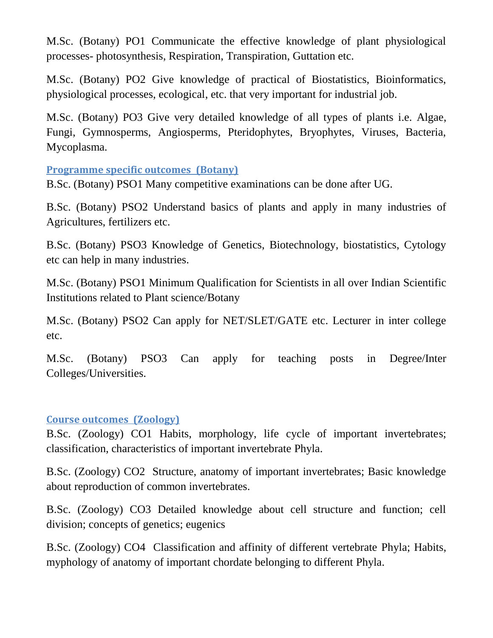M.Sc. (Botany) PO1 Communicate the effective knowledge of plant physiological processes- photosynthesis, Respiration, Transpiration, Guttation etc.

M.Sc. (Botany) PO2 Give knowledge of practical of Biostatistics, Bioinformatics, physiological processes, ecological, etc. that very important for industrial job.

M.Sc. (Botany) PO3 Give very detailed knowledge of all types of plants i.e. Algae, Fungi, Gymnosperms, Angiosperms, Pteridophytes, Bryophytes, Viruses, Bacteria, Mycoplasma.

**Programme specific outcomes (Botany)**

B.Sc. (Botany) PSO1 Many competitive examinations can be done after UG.

B.Sc. (Botany) PSO2 Understand basics of plants and apply in many industries of Agricultures, fertilizers etc.

B.Sc. (Botany) PSO3 Knowledge of Genetics, Biotechnology, biostatistics, Cytology etc can help in many industries.

M.Sc. (Botany) PSO1 Minimum Qualification for Scientists in all over Indian Scientific Institutions related to Plant science/Botany

M.Sc. (Botany) PSO2 Can apply for NET/SLET/GATE etc. Lecturer in inter college etc.

M.Sc. (Botany) PSO3 Can apply for teaching posts in Degree/Inter Colleges/Universities.

## **Course outcomes (Zoology)**

B.Sc. (Zoology) CO1 Habits, morphology, life cycle of important invertebrates; classification, characteristics of important invertebrate Phyla.

B.Sc. (Zoology) CO2 Structure, anatomy of important invertebrates; Basic knowledge about reproduction of common invertebrates.

B.Sc. (Zoology) CO3 Detailed knowledge about cell structure and function; cell division; concepts of genetics; eugenics

B.Sc. (Zoology) CO4 Classification and affinity of different vertebrate Phyla; Habits, myphology of anatomy of important chordate belonging to different Phyla.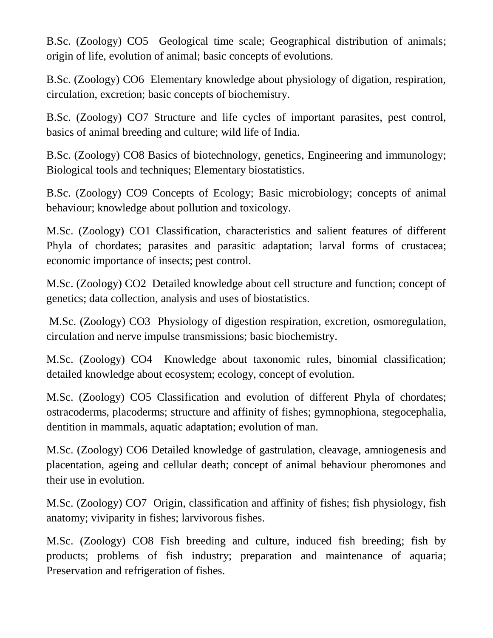B.Sc. (Zoology) CO5 Geological time scale; Geographical distribution of animals; origin of life, evolution of animal; basic concepts of evolutions.

B.Sc. (Zoology) CO6 Elementary knowledge about physiology of digation, respiration, circulation, excretion; basic concepts of biochemistry.

B.Sc. (Zoology) CO7 Structure and life cycles of important parasites, pest control, basics of animal breeding and culture; wild life of India.

B.Sc. (Zoology) CO8 Basics of biotechnology, genetics, Engineering and immunology; Biological tools and techniques; Elementary biostatistics.

B.Sc. (Zoology) CO9 Concepts of Ecology; Basic microbiology; concepts of animal behaviour; knowledge about pollution and toxicology.

M.Sc. (Zoology) CO1 Classification, characteristics and salient features of different Phyla of chordates; parasites and parasitic adaptation; larval forms of crustacea; economic importance of insects; pest control.

M.Sc. (Zoology) CO2 Detailed knowledge about cell structure and function; concept of genetics; data collection, analysis and uses of biostatistics.

M.Sc. (Zoology) CO3 Physiology of digestion respiration, excretion, osmoregulation, circulation and nerve impulse transmissions; basic biochemistry.

M.Sc. (Zoology) CO4 Knowledge about taxonomic rules, binomial classification; detailed knowledge about ecosystem; ecology, concept of evolution.

M.Sc. (Zoology) CO5 Classification and evolution of different Phyla of chordates; ostracoderms, placoderms; structure and affinity of fishes; gymnophiona, stegocephalia, dentition in mammals, aquatic adaptation; evolution of man.

M.Sc. (Zoology) CO6 Detailed knowledge of gastrulation, cleavage, amniogenesis and placentation, ageing and cellular death; concept of animal behaviour pheromones and their use in evolution.

M.Sc. (Zoology) CO7 Origin, classification and affinity of fishes; fish physiology, fish anatomy; viviparity in fishes; larvivorous fishes.

M.Sc. (Zoology) CO8 Fish breeding and culture, induced fish breeding; fish by products; problems of fish industry; preparation and maintenance of aquaria; Preservation and refrigeration of fishes.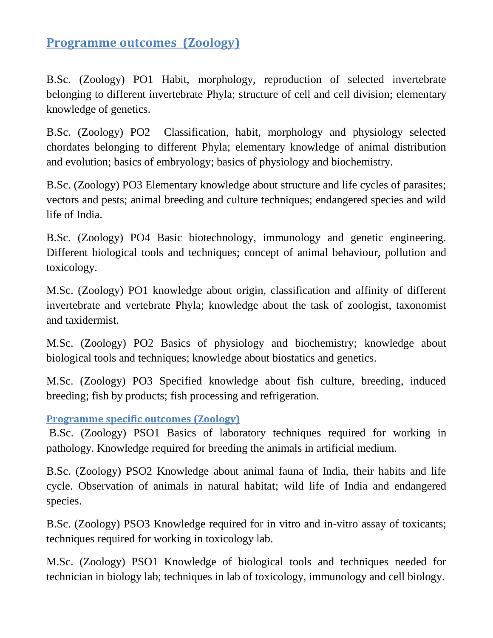# **Programme outcomes (Zoology)**

B.Sc. (Zoology) PO1 Habit, morphology, reproduction of selected invertebrate belonging to different invertebrate Phyla; structure of cell and cell division; elementary knowledge of genetics.

B.Sc. (Zoology) PO2 Classification, habit, morphology and physiology selected chordates belonging to different Phyla; elementary knowledge of animal distribution and evolution; basics of embryology; basics of physiology and biochemistry.

B.Sc. (Zoology) PO3 Elementary knowledge about structure and life cycles of parasites; vectors and pests; animal breeding and culture techniques; endangered species and wild life of India.

B.Sc. (Zoology) PO4 Basic biotechnology, immunology and genetic engineering. Different biological tools and techniques; concept of animal behaviour, pollution and toxicology.

M.Sc. (Zoology) PO1 knowledge about origin, classification and affinity of different invertebrate and vertebrate Phyla; knowledge about the task of zoologist, taxonomist and taxidermist.

M.Sc. (Zoology) PO2 Basics of physiology and biochemistry; knowledge about biological tools and techniques; knowledge about biostatics and genetics.

M.Sc. (Zoology) PO3 Specified knowledge about fish culture, breeding, induced breeding; fish by products; fish processing and refrigeration.

**Programme specific outcomes (Zoology)** 

B.Sc. (Zoology) PSO1 Basics of laboratory techniques required for working in pathology. Knowledge required for breeding the animals in artificial medium.

B.Sc. (Zoology) PSO2 Knowledge about animal fauna of India, their habits and life cycle. Observation of animals in natural habitat; wild life of India and endangered species.

B.Sc. (Zoology) PSO3 Knowledge required for in vitro and in-vitro assay of toxicants; techniques required for working in toxicology lab.

M.Sc. (Zoology) PSO1 Knowledge of biological tools and techniques needed for technician in biology lab; techniques in lab of toxicology, immunology and cell biology.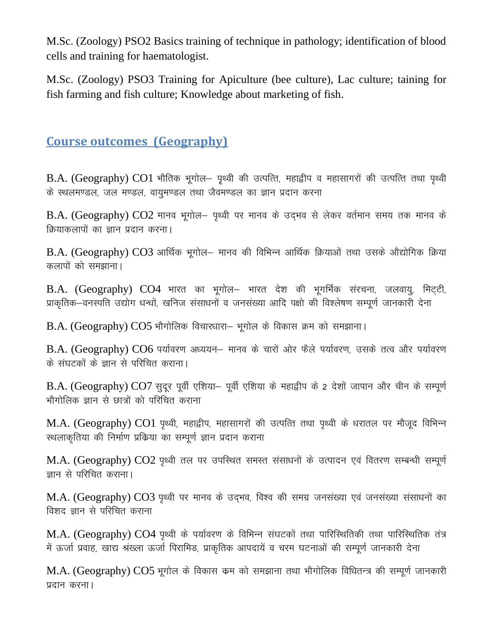M.Sc. (Zoology) PSO2 Basics training of technique in pathology; identification of blood cells and training for haematologist.

M.Sc. (Zoology) PSO3 Training for Apiculture (bee culture), Lac culture; taining for fish farming and fish culture; Knowledge about marketing of fish.

# **Course outcomes (Geography)**

 $B.A.$  (Geography)  $CO1$  भौतिक भूगोल– पृथ्वी की उत्पत्ति, महाद्वीप व महासागरों की उत्पत्ति तथा पृथ्वी के स्थलमण्डल, जल मण्डल, वायुमण्डल तथा जैवमण्डल का ज्ञान प्रदान करना

 $B.A.$  (Geography)  $CO2$  मानव भूगोल- पृथ्वी पर मानव के उद्भव से लेकर वर्तमान समय तक मानव के क्रियाकलापों का ज्ञान प्रदान करना।

 $B.A.$  (Geography)  $CO3$  आर्थिक भूगोल- मानव की विभिन्न आर्थिक क्रियाओं तथा उसके औद्योगिक क्रिया कलापों को समझाना।

 $B.A.$  (Geography)  $CO4$  भारत का भूगोल- भारत देश की भूगर्भिक संरचना, जलवायु, मिट्टी, प्राकृतिक–वनस्पति उद्योग धन्धों, खनिज संसाधनों व जनसंख्या आदि पक्षो की विश्लेषण सम्पूर्ण जानकारी देना

 $B.A.$  (Geography)  $CO5$  भौगोलिक विचारधारा- भूगोल के विकास क्रम को समझाना।

B.A. (Geography) CO6 पर्यावरण अध्ययन– मानव के चारों ओर फैले पर्यावरण, उसके तत्व और पर्यावरण के संघटकों के ज्ञान से परिचित कराना।

B.A. (Geography) CO7 सुदूर पूर्वी एशिया- पूर्वी एशिया के महाद्वीप के 2 देशों जापान और चीन के सम्पूर्ण भौगोलिक ज्ञान से छात्रों को परिचित कराना

M.A. (Geography) CO1 पृथ्वी, महाद्वीप, महासागरों की उत्पत्ति तथा पृथ्वी के धरातल पर मौजूद विभिन्न स्थलाकृतिया की निर्माण प्रकिया का सम्पूर्ण ज्ञान प्रदान कराना

 $M.A.$  (Geography)  $CO2$  पृथ्वी तल पर उपस्थित समस्त संसाधनों के उत्पादन एवं वितरण सम्बन्धी सम्पूर्ण ज्ञान से परिचित कराना।

M.A. (Geography) CO3 पृथ्वी पर मानव के उद्भव, विश्व की समग्र जनसंख्या एवं जनसंख्या संसाधनों का विशद ज्ञान से परिचित कराना

 $M.A.$  (Geography)  $CO4$  पृथ्वी के पर्यावरण के विभिन्न संघटकों तथा पारिस्थितिकी तथा पारिस्थितिक तंत्र में ऊर्जा प्रवाह, खाद्य श्रंख्ला ऊर्जा पिरामिड, प्राकृतिक आपदायें व चरम घटनाओं की सम्पूर्ण जानकारी देना

 $M.A.$  (Geography)  $CO5$  भूगोल के विकास कम को समझाना तथा भौगोलिक विधितन्त्र की सम्पूर्ण जानकारी प्रदान करना।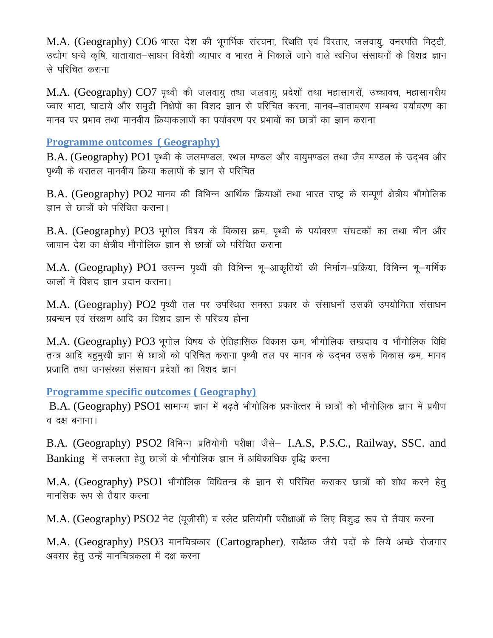M.A. (Geography) CO6 भारत देश की भूगर्भिक संरचना, स्थिति एवं विस्तार, जलवायु, वनस्पति मिट्टी, उद्योग धन्धे कृषि, यातायात–साधन विदेशी व्यापार व भारत में निकालें जाने वाले खनिज संसाधनों के विशद्र ज्ञान से परिचित कराना

 $M.A.$  (Geography)  $CO7$  पृथ्वी की जलवायु तथा जलवायु प्रदेशों तथा महासागरों, उच्चावच, महासागरीय ज्वार भाटा, घाटाये और समुद्री निक्षेपों का विशद ज्ञान से परिचित करना, मानव–वातावरण सम्बन्ध पर्यावरण का मानव पर प्रभाव तथा मानवीय क्रियाकलापों का पर्यावरण पर प्रभावों का छात्रों का ज्ञान कराना

#### **Programme outcomes ( Geography)**

 $B.A.$  (Geography)  $PO1$  पृथ्वी के जलमण्डल, स्थल मण्डल और वायुमण्डल तथा जैव मण्डल के उद्भव और पृथ्वी के धरातल मानवीय क्रिया कलापों के ज्ञान से परिचित

 $B.A.$  (Geography)  $PO2$  मानव की विभिन्न आर्थिक क्रियाओं तथा भारत राष्ट्र के सम्पूर्ण क्षेत्रीय भौगोलिक ज्ञान से छात्रों को परिचित कराना।

B.A. (Geography) PO3 भूगोल विषय के विकास क्रम, पृथ्वी के पर्यावरण संघटकों का तथा चीन और जापान देश का क्षेत्रीय भौगोलिक ज्ञान से छात्रों को परिचित कराना

M.A. (Geography) PO1 उत्पन्न पृथ्वी की विभिन्न भू-आकृतियों की निर्माण-प्रक्रिया, विभिन्न भू-गर्भिक कालों में विशद ज्ञान प्रदान कराना।

M.A. (Geography) PO2 पृथ्वी तल पर उपस्थित समस्त प्रकार के संसाधनों उसकी उपयोगिता संसाधन प्रबन्धन एवं संरक्षण आदि का विशद ज्ञान से परिचय होना

 $M.A.$  (Geography)  $PO3$  भगोल विषय के ऐतिहासिक विकास कम, भौगोलिक सम्प्रदाय व भौगोलिक विधि तन्त्र आदि बहुमुखी ज्ञान से छात्रों को परिचित कराना पृथ्वी तल पर मानव के उदभव उसके विकास कम, मानव प्रजाति तथा जनसंख्या संसाधन प्रदेशों का विशद ज्ञान

**Programme specific outcomes ( Geography)**

 $B.A.$  (Geography)  $PSO1$  सामान्य ज्ञान में बढते भौगोलिक प्रश्नोंत्तर में छात्रों को भौगोलिक ज्ञान में प्रवीण व दक्ष बनाना।

B.A. (Geography) PSO2 विभिन्न प्रतियोगी परीक्षा जैसे– I.A.S. P.S.C., Railway, SSC. and  $Banking$  में सफलता हेतू छात्रों के भौगोलिक ज्ञान में अधिकाधिक वृद्धि करना

M.A. (Geography) PSO1 भौगोलिक विधितन्त्र के ज्ञान से परिचित कराकर छात्रों को शोध करने हेत् मानसिक रूप से तैयार करना

M.A. (Geography) PSO2 नेट (यूजीसी) व स्लेट प्रतियोगी परीक्षाओं के लिए विशुद्ध रूप से तैयार करना

M.A. (Geography) PSO3 मानचित्रकार (Cartographer), सर्वेक्षक जैसे पदों के लिये अच्छे रोजगार अवसर हेतू उन्हें मानचित्रकला में दक्ष करना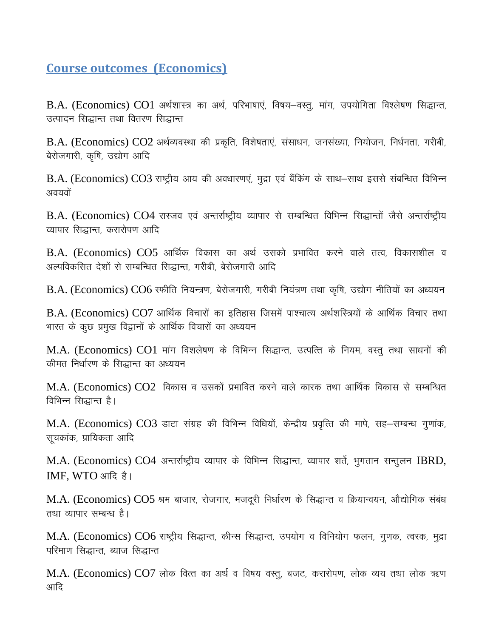# **Course outcomes (Economics)**

B.A. (Economics) CO1 अर्थशास्त्र का अर्थ, परिभाषाएं, विषय-वस्त्, मांग, उपयोगिता विश्लेषण सिद्धान्त, उत्पादन सिद्धान्त तथा वितरण सिद्धान्त

 $B.A.$  (Economics)  $CO2$  अर्थव्यवस्था की प्रकृति, विशेषताएं, संसाधन, जनसंख्या, नियोजन, निर्धनता, गरीबी, बेरोजगारी, कृषि, उद्योग आदि

 $B.A.$  (Economics)  $CO3$  राष्ट्रीय आय की अवधारणएं, मुद्रा एवं बैंकिंग के साथ-साथ इससे संबन्धित विभिन्न अवयवों

B.A. (Economics) CO4 रास्जव एवं अन्तर्राष्ट्रीय व्यापार से सम्बन्धित विभिन्न सिद्धान्तों जैसे अन्तर्राष्ट्रीय व्यापार सिद्धान्त, करारोपण आदि

 $B.A.$  (Economics)  $CO5$  आर्थिक विकास का अर्थ उसको प्रभावित करने वाले तत्व, विकासशील व अल्पविकसित देशों से सम्बन्धित सिद्धान्त, गरीबी, बेरोजगारी आदि

 $B.A.$  (Economics)  $CO6$  स्फीति नियन्त्रण, बेरोजगारी, गरीबी नियंत्रण तथा कृषि, उद्योग नीतियों का अध्ययन

 $B.A.$  (Economics)  $CO7$  आर्थिक विचारों का इतिहास जिसमें पाश्चात्य अर्थशस्त्रियों के आर्थिक विचार तथा भारत के कुछ प्रमुख विद्वानों के आर्थिक विचारों का अध्ययन

 $M.A.$  (Economics)  $CO1$  मांग विशलेषण के विभिन्न सिद्धान्त, उत्पत्ति के नियम, वस्तू तथा साधनों की कीमत निर्धारण के सिद्धान्त का अध्ययन

 $M.A.$  (Economics)  $CO2$  विकास व उसकों प्रभावित करने वाले कारक तथा आर्थिक विकास से सम्बन्धित विभिन्न सिद्धान्त है।

M.A. (Economics) CO3 डाटा संग्रह की विभिन्न विधियों, केन्द्रीय प्रवृत्ति की मापे, सह-सम्बन्ध गुणांक, सचकांक, प्रायिकता आदि

M.A. (Economics) CO4 अन्तर्राष्ट्रीय व्यापार के विभिन्न सिद्धान्त, व्यापार शर्ते, भूगतान सन्तूलन IBRD, IMF, WTO आदि है।

M.A. (Economics) CO5 श्रम बाजार, रोजगार, मजदूरी निर्धारण के सिद्धान्त व क्रियान्वयन, औद्योगिक संबंध तथा व्यापार सम्बन्ध है।

M.A. (Economics) CO6 राष्ट्रीय सिद्धान्त, कीन्स सिद्धान्त, उपयोग व विनियोग फलन, गुणक, त्वरक, मुद्रा परिमाण सिद्धान्त, ब्याज सिद्धान्त

M.A. (Economics) CO7 लोक वित्त का अर्थ व विषय वस्तु, बजट, करारोपण, लोक व्यय तथा लोक ऋण आदि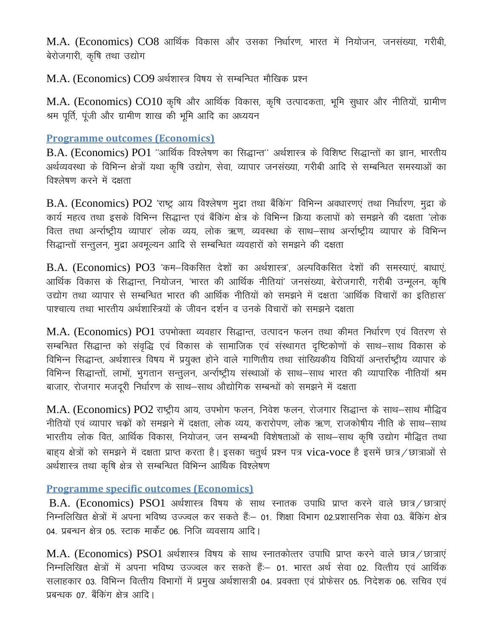$M.A.$  (Economics)  $CO8$  आर्थिक विकास और उसका निर्धारण, भारत में नियोजन, जनसंख्या, गरीबी, बेरोजगारी, कृषि तथा उद्योग

M.A. (Economics) CO9 अर्थशास्त्र विषय से सम्बन्धित मौखिक प्रश्न

 $M.A.$  (Economics)  $CO10$  कृषि और आर्थिक विकास, कृषि उत्पादकता, भूमि सुधार और नीतियों, ग्रामीण श्रम पूर्ति, पूंजी और ग्रामीण शाख की भूमि आदि का अध्ययन

#### **Programme outcomes (Economics)**

 $B.A.$  (Economics)  $PO1$  "आर्थिक विश्लेषण का सिद्धान्त" अर्थशास्त्र के विशिष्ट सिद्धान्तों का ज्ञान, भारतीय अर्थव्यवस्था के विभिन्न क्षेत्रों यथा कृषि उद्योग, सेवा, व्यापार जनसंख्या, गरीबी आदि से सम्बन्धित समस्याओं का विश्लेषण करने में दक्षता

B.A. (Economics) PO2 'राष्ट्र आय विश्लेषण मुद्रा तथा बैंकिंग' विभिन्न अवधारणएं तथा निर्धारण, मुद्रा के कार्य महत्व तथा इसके विभिन्न सिद्धान्त एवं बैंकिंग क्षेत्र के विभिन्न क्रिया कलापों को समझने की दक्षता 'लोक वित्त तथा अर्न्सष्ट्रीय व्यापार' लोक व्यय, लोक ऋण, व्यवस्था के साथ–साथ अर्न्सष्ट्रीय व्यापार के विभिन्न सिद्धान्तों सन्तुलन, मुद्रा अवमुल्यन आदि से सम्बन्धित व्यवहारों को समझने की दक्षता

 $B.A.$  (Economics)  $PO3$  'कम-विकसित देशों का अर्थशास्त्र', अल्पविकसित देशों की समस्याएं, बाधाएं, आर्थिक विकास के सिद्धान्त, नियोजन, 'भारत की आर्थिक नीतियां' जनसंख्या, बेरोजगारी, गरीबी उन्मुलन, कृषि उद्योग तथा व्यापार से सम्बन्धित भारत की आर्थिक नीतियों को समझने में दक्षता 'आर्थिक विचारों का इतिहास' पाश्चात्य तथा भारतीय अर्थशास्त्रियों के जीवन दर्शन व उनके विचारों को समझने दक्षता

M.A. (Economics) PO1 उपभोक्ता व्यवहार सिद्धान्त, उत्पादन फलन तथा कीमत निर्धारण एवं वितरण से सम्बन्धित सिद्धान्त को संवृद्धि एवं विकास के सामाजिक एवं संस्थागत दृष्टिकोणों के साथ–साथ विकास के विभिन्न सिद्धान्त, अर्थशास्त्र विषय में प्रयुक्त होने वाले गाणितीय तथा सांख्यिकीय विधियाँ अन्तर्राष्ट्रीय व्यापार के विभिन्न सिद्धान्तों, लाभों, भूगतान सन्तुलन, अर्न्साष्ट्रीय संस्थाओं के साथ–साथ भारत की व्यापारिक नीतियाँ श्रम बाजार, रोजगार मजदरी निर्धारण के साथ–साथ औद्योगिक सम्बन्धों को समझने में दक्षता

M.A. (Economics) PO2 राष्ट्रीय आय, उपभोग फलन, निवेश फलन, रोजगार सिद्धान्त के साथ–साथ मौद्धिव नीतियों एवं व्यापार चकों को समझने में दक्षता, लोक व्यय, करारोपण, लोक ऋण, राजकोषीय नीति के साथ–साथ भारतीय लोक वित, आर्थिक विकास, नियोजन, जन सम्बन्धी विशेषताओं के साथ–साथ कृषि उद्योग मौद्धित तथा बाहय क्षेत्रों को समझने में दक्षता प्राप्त करता है। इसका चतुर्थ प्रश्न पत्र vica-voce है इसमें छात्र / छात्राओं से अर्थशास्त्र तथा कृषि क्षेत्र से सम्बन्धित विभिन्न आर्थिक विश्लेषण

### **Programme specific outcomes (Economics)**

B.A. (Economics) PSO1 अर्थशास्त्र विषय के साथ स्नातक उपाधि प्राप्त करने वाले छात्र / छात्राएं निम्नलिखित क्षेत्रों में अपना भविष्य उज्ज्वल कर सकते हैं:– 01. शिक्षा विभाग 02.प्रशासनिक सेवा 03. बैंकिंग क्षेत्र 04- प्रबन्धन क्षेत्र 05- स्टाक मार्केट 06- निजि व्यवसाय आदि I

 $M.A.$  (Economics) PSO1 अर्थशास्त्र विषय के साथ स्नातकोत्तर उपाधि प्राप्त करने वाले छात्र / छात्राएं निम्नलिखित क्षेत्रों में अपना भविष्य उज्ज्वल कर सकते हैं:– 01. भारत अर्थ सेवा 02. वित्तीय एवं आर्थिक सलाहकार 03. विभिन्न वित्तीय विभागों में प्रमुख अर्थशासत्री 04. प्रवक्ता एवं प्रोफेसर 05. निदेशक 06. सचिव एवं प्रबन्धक 07 बैंकिंग क्षेत्र आदि।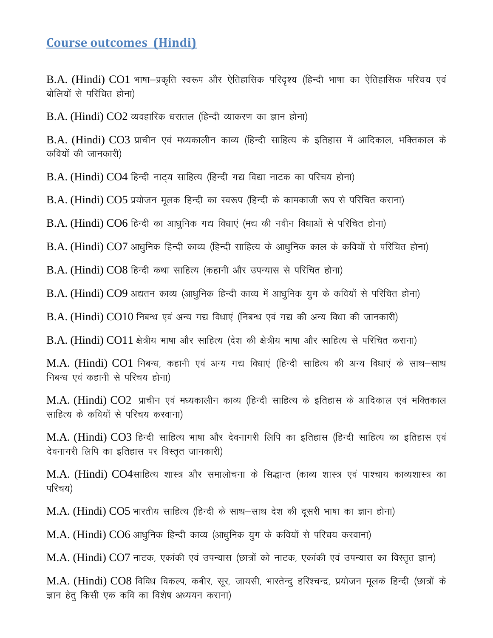## **Course outcomes (Hindi)**

 $B.A.$  (Hindi)  $CO1$  भाषा–प्रकृति स्वरूप और ऐतिहासिक परिदृश्य (हिन्दी भाषा का ऐतिहासिक परिचय एवं बोलियों से परिचित होना)

 $B.A.$  (Hindi)  $CO2$  व्यवहारिक धरातल (हिन्दी व्याकरण का ज्ञान होना)

 $B.A.$  (Hindi)  $CO3$  प्राचीन एवं मध्यकालीन काव्य (हिन्दी साहित्य के इतिहास में आदिकाल, भक्तिकाल के कवियों की जानकारी)

 $B.A.$  (Hindi)  $CO4$  हिन्दी नाट्य साहित्य (हिन्दी गद्य विद्या नाटक का परिचय होना)

 $B.A.$  (Hindi)  $CO5$  प्रयोजन मूलक हिन्दी का स्वरूप (हिन्दी के कामकाजी रूप से परिचित कराना)

 $B.A.$  (Hindi)  $CO6$  हिन्दी का आधुनिक गद्य विधाएं (मद्य की नवीन विधाओं से परिचित होना)

 $B.A.$  (Hindi)  $CO7$  आधुनिक हिन्दी काव्य (हिन्दी साहित्य के आधुनिक काल के कवियों से परिचित होना)

 $B.A.$  (Hindi)  $CO8$  हिन्दी कथा साहित्य (कहानी और उपन्यास से परिचित होना)

 $B.A.$  (Hindi)  $CO9$  अद्यतन काव्य (आधुनिक हिन्दी काव्य में आधुनिक युग के कवियों से परिचित होना)

 $B.A.$  (Hindi)  $CO10$  निबन्ध एवं अन्य गद्य विधाएं (निबन्ध एवं गद्य की अन्य विधा की जानकारी)

B.A. (Hindi) CO11 क्षेत्रीय भाषा और साहित्य (देश की क्षेत्रीय भाषा और साहित्य से परिचित कराना)

 $M.A.$  (Hindi)  $CO1$  निबन्ध, कहानी एवं अन्य गद्य विधाएं (हिन्दी साहित्य की अन्य विधाएं के साथ–साथ निबन्ध एवं कहानी से परिचय होना)

 $M.A.$  (Hindi)  $CO2$  प्राचीन एवं मध्यकालीन काव्य (हिन्दी साहित्य के इतिहास के आदिकाल एवं भक्तिकाल साहित्य के कवियों से परिचय करवाना)

M.A. (Hindi) CO3 हिन्दी साहित्य भाषा और देवनागरी लिपि का इतिहास (हिन्दी साहित्य का इतिहास एवं देवनागरी लिपि का इतिहास पर विस्तृत जानकारी)

M.A. (Hindi) CO4साहित्य शास्त्र और समालोचना के सिद्धान्त (काव्य शास्त्र एवं पाश्चाय काव्यशास्त्र का परिचय)

 $M.A.$  (Hindi)  $CO5$  भारतीय साहित्य (हिन्दी के साथ-साथ देश की दूसरी भाषा का ज्ञान होना)

 $M.A.$  (Hindi)  $CO6$  आधुनिक हिन्दी काव्य (आधुनिक युग के कवियों से परिचय करवाना)

 $M.A.$  (Hindi)  $CO7$  नाटक, एकांकी एवं उपन्यास (छात्रों को नाटक, एकांकी एवं उपन्यास का विस्तृत ज्ञान)

M.A. (Hindi) CO8 विविध विकल्प, कबीर, सुर, जायसी, भारतेन्द् हरिश्चन्द्र, प्रयोजन मूलक हिन्दी (छात्रों के ज्ञान हेतु किसी एक कवि का विशेष अध्ययन कराना)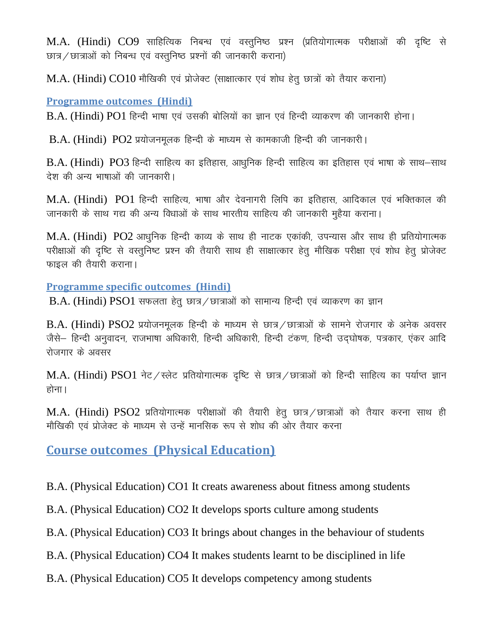$M.A.$  (Hindi)  $CO9$  साहित्यिक निबन्ध एवं वस्तुनिष्ठ प्रश्न (प्रतियोगात्मक परीक्षाओं की दृष्टि से छात्र / छात्राओं को निबन्ध एवं वस्तुनिष्ठ प्रश्नों की जानकारी कराना)

 $M.A.$  (Hindi)  $CO10$  मौखिकी एवं प्रोजेक्ट (साक्षात्कार एवं शोध हेतु छात्रों को तैयार कराना)

### **Programme outcomes (Hindi)**

 $B.A.$  (Hindi)  $PO1$  हिन्दी भाषा एवं उसकी बोलियों का ज्ञान एवं हिन्दी व्याकरण की जानकारी होना।

 $B.A.$  (Hindi)  $PO2$  प्रयोजनमुलक हिन्दी के माध्यम से कामकाजी हिन्दी की जानकारी।

B.A. (Hindi) PO3 हिन्दी साहित्य का इतिहास, आधुनिक हिन्दी साहित्य का इतिहास एवं भाषा के साथ-साथ देश की अन्य भाषाओं की जानकारी।

 $M.A.$  (Hindi)  $PO1$  हिन्दी साहित्य, भाषा और देवनागरी लिपि का इतिहास, आदिकाल एवं भक्तिकाल की जानकारी के साथ गद्य की अन्य विधाओं के साथ भारतीय साहित्य की जानकारी महैया कराना।

 $M.A.$  (Hindi)  $PO2$  आधुनिक हिन्दी काव्य के साथ ही नाटक एकांकी, उपन्यास और साथ ही प्रतियोगात्मक परीक्षाओं की दृष्टि से वस्तुनिष्ट प्रश्न की तैयारी साथ ही साक्षात्कार हेतू मौखिक परीक्षा एवं शोध हेतू प्रोजेक्ट फाइल की तैयारी कराना।

### **Programme specific outcomes (Hindi)**

 $B.A.$  (Hindi) PSO1 सफलता हेतू छात्र / छात्राओं को सामान्य हिन्दी एवं व्याकरण का ज्ञान

 $B.A.$  (Hindi)  $PSO2$  प्रयोजनमुलक हिन्दी के माध्यम से छात्र / छात्राओं के सामने रोजगार के अनेक अवसर जैसे– हिन्दी अनुवादन, राजभाषा अधिकारी, हिन्दी अधिकारी, हिन्दी टंकण, हिन्दी उदघोषक, पत्रकार, एंकर आदि रोजगार के अवसर

 $M.A.$  (Hindi) PSO1 नेट/स्लेट प्रतियोगात्मक दृष्टि से छात्र/छात्राओं को हिन्दी साहित्य का पर्याप्त ज्ञान होना।

 $M.A.$  (Hindi)  $PSO2$  प्रतियोगात्मक परीक्षाओं की तैयारी हेतू छात्र / छात्राओं को तैयार करना साथ ही मौखिकी एवं प्रोजेक्ट के माध्यम से उन्हें मानसिक रूप से शोध की ओर तैयार करना

**Course outcomes (Physical Education)**

B.A. (Physical Education) CO1 It creats awareness about fitness among students

B.A. (Physical Education) CO2 It develops sports culture among students

B.A. (Physical Education) CO3 It brings about changes in the behaviour of students

B.A. (Physical Education) CO4 It makes students learnt to be disciplined in life

B.A. (Physical Education) CO5 It develops competency among students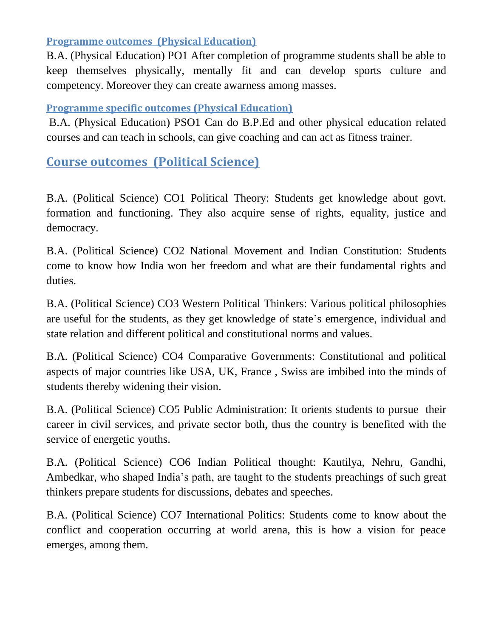### **Programme outcomes (Physical Education)**

B.A. (Physical Education) PO1 After completion of programme students shall be able to keep themselves physically, mentally fit and can develop sports culture and competency. Moreover they can create awarness among masses.

## **Programme specific outcomes (Physical Education)**

B.A. (Physical Education) PSO1 Can do B.P.Ed and other physical education related courses and can teach in schools, can give coaching and can act as fitness trainer.

**Course outcomes (Political Science)**

B.A. (Political Science) CO1 Political Theory: Students get knowledge about govt. formation and functioning. They also acquire sense of rights, equality, justice and democracy.

B.A. (Political Science) CO2 National Movement and Indian Constitution: Students come to know how India won her freedom and what are their fundamental rights and duties.

B.A. (Political Science) CO3 Western Political Thinkers: Various political philosophies are useful for the students, as they get knowledge of state's emergence, individual and state relation and different political and constitutional norms and values.

B.A. (Political Science) CO4 Comparative Governments: Constitutional and political aspects of major countries like USA, UK, France , Swiss are imbibed into the minds of students thereby widening their vision.

B.A. (Political Science) CO5 Public Administration: It orients students to pursue their career in civil services, and private sector both, thus the country is benefited with the service of energetic youths.

B.A. (Political Science) CO6 Indian Political thought: Kautilya, Nehru, Gandhi, Ambedkar, who shaped India's path, are taught to the students preachings of such great thinkers prepare students for discussions, debates and speeches.

B.A. (Political Science) CO7 International Politics: Students come to know about the conflict and cooperation occurring at world arena, this is how a vision for peace emerges, among them.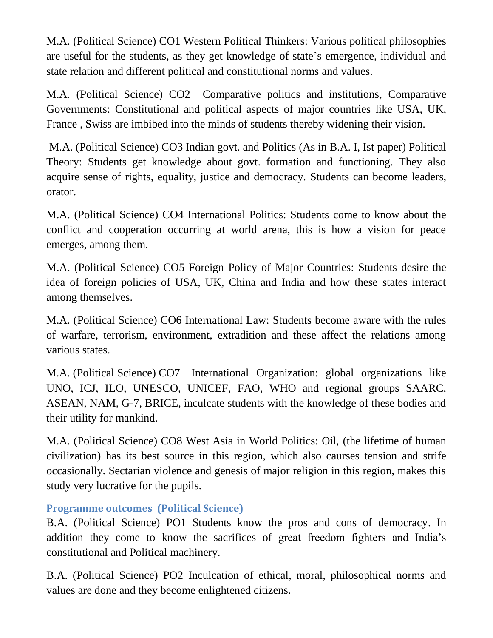M.A. (Political Science) CO1 Western Political Thinkers: Various political philosophies are useful for the students, as they get knowledge of state's emergence, individual and state relation and different political and constitutional norms and values.

M.A. (Political Science) CO2 Comparative politics and institutions, Comparative Governments: Constitutional and political aspects of major countries like USA, UK, France , Swiss are imbibed into the minds of students thereby widening their vision.

M.A. (Political Science) CO3 Indian govt. and Politics (As in B.A. I, Ist paper) Political Theory: Students get knowledge about govt. formation and functioning. They also acquire sense of rights, equality, justice and democracy. Students can become leaders, orator.

M.A. (Political Science) CO4 International Politics: Students come to know about the conflict and cooperation occurring at world arena, this is how a vision for peace emerges, among them.

M.A. (Political Science) CO5 Foreign Policy of Major Countries: Students desire the idea of foreign policies of USA, UK, China and India and how these states interact among themselves.

M.A. (Political Science) CO6 International Law: Students become aware with the rules of warfare, terrorism, environment, extradition and these affect the relations among various states.

M.A. (Political Science) CO7 International Organization: global organizations like UNO, ICJ, ILO, UNESCO, UNICEF, FAO, WHO and regional groups SAARC, ASEAN, NAM, G-7, BRICE, inculcate students with the knowledge of these bodies and their utility for mankind.

M.A. (Political Science) CO8 West Asia in World Politics: Oil, (the lifetime of human civilization) has its best source in this region, which also caurses tension and strife occasionally. Sectarian violence and genesis of major religion in this region, makes this study very lucrative for the pupils.

**Programme outcomes (Political Science)**

B.A. (Political Science) PO1 Students know the pros and cons of democracy. In addition they come to know the sacrifices of great freedom fighters and India's constitutional and Political machinery.

B.A. (Political Science) PO2 Inculcation of ethical, moral, philosophical norms and values are done and they become enlightened citizens.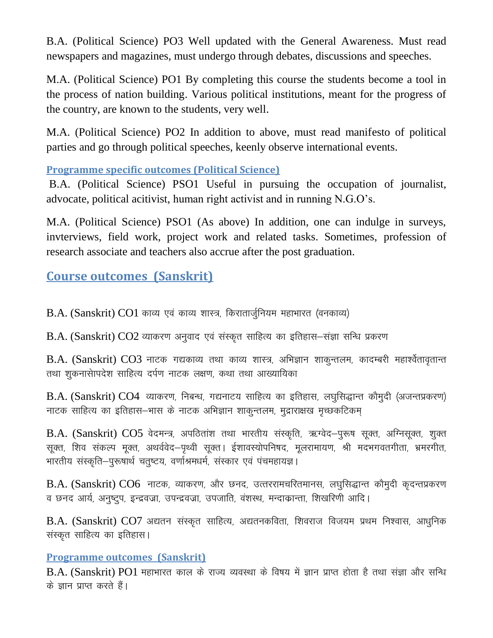B.A. (Political Science) PO3 Well updated with the General Awareness. Must read newspapers and magazines, must undergo through debates, discussions and speeches.

M.A. (Political Science) PO1 By completing this course the students become a tool in the process of nation building. Various political institutions, meant for the progress of the country, are known to the students, very well.

M.A. (Political Science) PO2 In addition to above, must read manifesto of political parties and go through political speeches, keenly observe international events.

**Programme specific outcomes (Political Science)**

B.A. (Political Science) PSO1 Useful in pursuing the occupation of journalist, advocate, political acitivist, human right activist and in running N.G.O's.

M.A. (Political Science) PSO1 (As above) In addition, one can indulge in surveys, invterviews, field work, project work and related tasks. Sometimes, profession of research associate and teachers also accrue after the post graduation.

**Course outcomes (Sanskrit)**

 $B.A.$  (Sanskrit)  $CO1$  काव्य एवं काव्य शास्त्र, किरातार्जुनियम महाभारत (वनकाव्य)

 $B.A.$  (Sanskrit)  $CO2$  व्याकरण अनुवाद एवं संस्कृत साहित्य का इतिहास-संज्ञा सन्धि प्रकरण

 $B.A.$  (Sanskrit)  $CO3$  नाटक गद्यकाव्य तथा काव्य शास्त्र, अभिज्ञान शाकुन्तलम, कादम्बरी महार्श्वेतावृतान्त तथा शुकनासेापदेश साहित्य दर्पण नाटक लक्षण, कथा तथा आख्यायिका

 $B.A.$  (Sanskrit)  $CO4$  व्याकरण, निबन्ध, गद्यनाटय साहित्य का इतिहास, लघुसिद्धान्त कौमुदी (अजन्तप्रकरण) नाटक साहित्य का इतिहास–भास के नाटक अभिज्ञान शाकुन्तलम, मुद्राराक्षख मृच्छकटिकम्

B.A. (Sanskrit) CO5 वेदमन्त्र, अपठितांश तथा भारतीय संस्कृति, ऋग्वेद–पुरूष सुक्त, अग्निसुक्त, शुक्त सूक्त, शिव संकल्प मूक्त, अथर्ववेद–पृथ्वी सूक्त। ईशावस्योपनिषद, मूलरामायण, श्री मदभगवतगीता, भ्रमरगीत, भारतीय संस्कृति–पुरूषार्थ चतुष्टय, वर्णाश्रमधर्म, संस्कार एवं पंचमहायज्ञ।

 $B.A.$  (Sanskrit)  $CO6$  नाटक, व्याकरण, और छनद, उत्तररामचरितमानस, लघुसिद्धान्त कौमुदी कुदन्तप्रकरण व छनद आर्य, अनुष्टुप, इन्द्रवज्रा, उपन्द्रवज्रा, उपजाति, वंशस्थ, मन्दाकान्ता, शिखरिणी आदि।

 $B.A.$  (Sanskrit)  $CO7$  अद्यतन संस्कृत साहित्य, अद्यतनकविता, शिवराज विजयम प्रथम निश्वास, आधुनिक संस्कृत साहित्य का इतिहास।

### **Programme outcomes (Sanskrit)**

B.A. (Sanskrit) PO1 महाभारत काल के राज्य व्यवस्था के विषय में ज्ञान प्राप्त होता है तथा संज्ञा और सन्धि के ज्ञान प्राप्त करते हैं।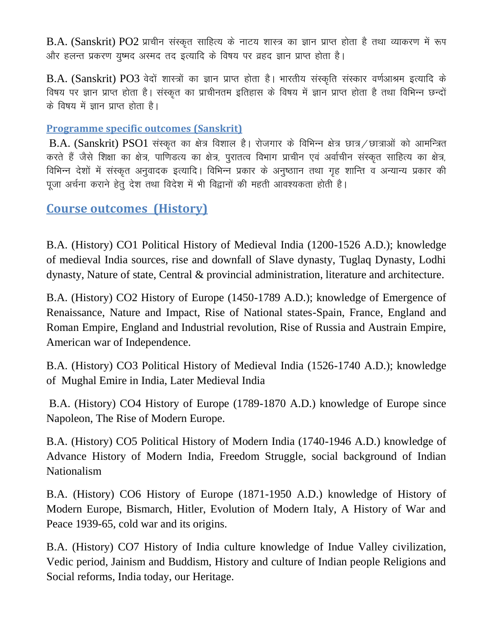$B.A.$  (Sanskrit)  $PO2$  प्राचीन संस्कृत साहित्य के नाटय शास्त्र का ज्ञान प्राप्त होता है तथा व्याकरण में रूप ओर हलन्त प्रकरण युष्मद अस्मद तद इत्यादि के विषय पर व्रहद ज्ञान प्राप्त होता है।

B.A. (Sanskrit) PO3 वेदों शास्त्रों का ज्ञान प्राप्त होता है। भारतीय संस्कृति संस्कार वर्णआश्रम इत्यादि के विषय पर ज्ञान प्राप्त होता है। संस्कृत का प्राचीनतम इतिहास के विषय में ज्ञान प्राप्त होता है तथा विभिन्न छन्दों के विषय में ज्ञान प्राप्त होता है।

#### **Programme specific outcomes (Sanskrit)**

 $B.A.$  (Sanskrit)  $PSO1$  संस्कृत का क्षेत्र विशाल है। रोजगार के विभिन्न क्षेत्र छात्र / छात्राओं को आमन्त्रित करते हैं जैसे शिक्षा का क्षेत्र, पाणिडत्य का क्षेत्र, पुरातत्व विभाग प्राचीन एवं अर्वाचीन संस्कृत साहित्य का क्षेत्र, विभिन्न देशों में संस्कृत अनुवादक इत्यादि। विभिन्न प्रकार के अनुष्ठाान तथा गृह शान्ति व अन्यान्य प्रकार की पूजा अर्चना कराने हेतु देश तथा विदेश में भी विद्वानों की महती आवश्यकता होती है।

## **Course outcomes (History)**

B.A. (History) CO1 Political History of Medieval India (1200-1526 A.D.); knowledge of medieval India sources, rise and downfall of Slave dynasty, Tuglaq Dynasty, Lodhi dynasty, Nature of state, Central & provincial administration, literature and architecture.

B.A. (History) CO2 History of Europe (1450-1789 A.D.); knowledge of Emergence of Renaissance, Nature and Impact, Rise of National states-Spain, France, England and Roman Empire, England and Industrial revolution, Rise of Russia and Austrain Empire, American war of Independence.

B.A. (History) CO3 Political History of Medieval India (1526-1740 A.D.); knowledge of Mughal Emire in India, Later Medieval India

B.A. (History) CO4 History of Europe (1789-1870 A.D.) knowledge of Europe since Napoleon, The Rise of Modern Europe.

B.A. (History) CO5 Political History of Modern India (1740-1946 A.D.) knowledge of Advance History of Modern India, Freedom Struggle, social background of Indian Nationalism

B.A. (History) CO6 History of Europe (1871-1950 A.D.) knowledge of History of Modern Europe, Bismarch, Hitler, Evolution of Modern Italy, A History of War and Peace 1939-65, cold war and its origins.

B.A. (History) CO7 History of India culture knowledge of Indue Valley civilization, Vedic period, Jainism and Buddism, History and culture of Indian people Religions and Social reforms, India today, our Heritage.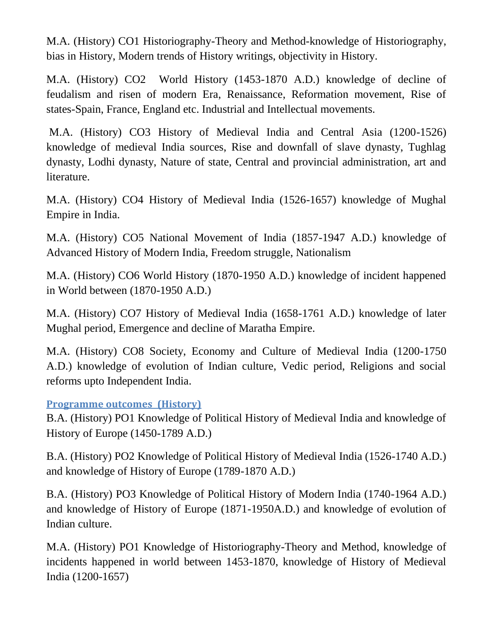M.A. (History) CO1 Historiography-Theory and Method-knowledge of Historiography, bias in History, Modern trends of History writings, objectivity in History.

M.A. (History) CO2 World History (1453-1870 A.D.) knowledge of decline of feudalism and risen of modern Era, Renaissance, Reformation movement, Rise of states-Spain, France, England etc. Industrial and Intellectual movements.

M.A. (History) CO3 History of Medieval India and Central Asia (1200-1526) knowledge of medieval India sources, Rise and downfall of slave dynasty, Tughlag dynasty, Lodhi dynasty, Nature of state, Central and provincial administration, art and literature.

M.A. (History) CO4 History of Medieval India (1526-1657) knowledge of Mughal Empire in India.

M.A. (History) CO5 National Movement of India (1857-1947 A.D.) knowledge of Advanced History of Modern India, Freedom struggle, Nationalism

M.A. (History) CO6 World History (1870-1950 A.D.) knowledge of incident happened in World between (1870-1950 A.D.)

M.A. (History) CO7 History of Medieval India (1658-1761 A.D.) knowledge of later Mughal period, Emergence and decline of Maratha Empire.

M.A. (History) CO8 Society, Economy and Culture of Medieval India (1200-1750 A.D.) knowledge of evolution of Indian culture, Vedic period, Religions and social reforms upto Independent India.

**Programme outcomes (History)**

B.A. (History) PO1 Knowledge of Political History of Medieval India and knowledge of History of Europe (1450-1789 A.D.)

B.A. (History) PO2 Knowledge of Political History of Medieval India (1526-1740 A.D.) and knowledge of History of Europe (1789-1870 A.D.)

B.A. (History) PO3 Knowledge of Political History of Modern India (1740-1964 A.D.) and knowledge of History of Europe (1871-1950A.D.) and knowledge of evolution of Indian culture.

M.A. (History) PO1 Knowledge of Historiography-Theory and Method, knowledge of incidents happened in world between 1453-1870, knowledge of History of Medieval India (1200-1657)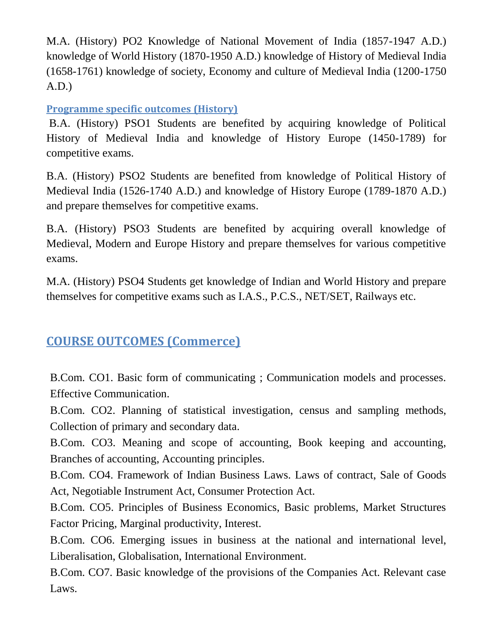M.A. (History) PO2 Knowledge of National Movement of India (1857-1947 A.D.) knowledge of World History (1870-1950 A.D.) knowledge of History of Medieval India (1658-1761) knowledge of society, Economy and culture of Medieval India (1200-1750 A.D.)

## **Programme specific outcomes (History)**

B.A. (History) PSO1 Students are benefited by acquiring knowledge of Political History of Medieval India and knowledge of History Europe (1450-1789) for competitive exams.

B.A. (History) PSO2 Students are benefited from knowledge of Political History of Medieval India (1526-1740 A.D.) and knowledge of History Europe (1789-1870 A.D.) and prepare themselves for competitive exams.

B.A. (History) PSO3 Students are benefited by acquiring overall knowledge of Medieval, Modern and Europe History and prepare themselves for various competitive exams.

M.A. (History) PSO4 Students get knowledge of Indian and World History and prepare themselves for competitive exams such as I.A.S., P.C.S., NET/SET, Railways etc.

# **COURSE OUTCOMES (Commerce)**

B.Com. CO1. Basic form of communicating ; Communication models and processes. Effective Communication.

B.Com. CO2. Planning of statistical investigation, census and sampling methods, Collection of primary and secondary data.

B.Com. CO3. Meaning and scope of accounting, Book keeping and accounting, Branches of accounting, Accounting principles.

B.Com. CO4. Framework of Indian Business Laws. Laws of contract, Sale of Goods Act, Negotiable Instrument Act, Consumer Protection Act.

B.Com. CO5. Principles of Business Economics, Basic problems, Market Structures Factor Pricing, Marginal productivity, Interest.

B.Com. CO6. Emerging issues in business at the national and international level, Liberalisation, Globalisation, International Environment.

B.Com. CO7. Basic knowledge of the provisions of the Companies Act. Relevant case Laws.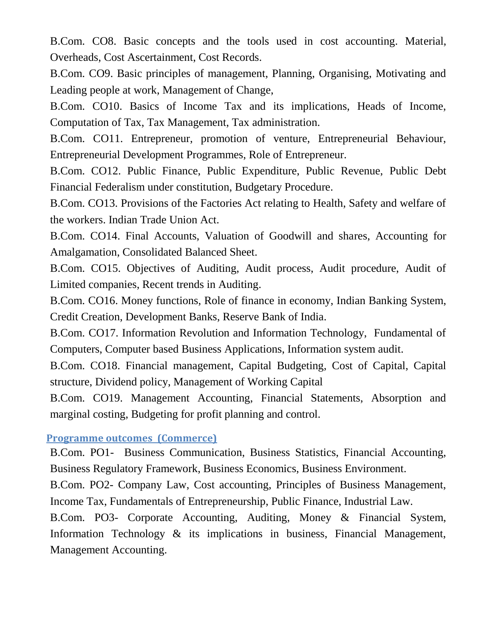B.Com. CO8. Basic concepts and the tools used in cost accounting. Material, Overheads, Cost Ascertainment, Cost Records.

B.Com. CO9. Basic principles of management, Planning, Organising, Motivating and Leading people at work, Management of Change,

B.Com. CO10. Basics of Income Tax and its implications, Heads of Income, Computation of Tax, Tax Management, Tax administration.

B.Com. CO11. Entrepreneur, promotion of venture, Entrepreneurial Behaviour, Entrepreneurial Development Programmes, Role of Entrepreneur.

B.Com. CO12. Public Finance, Public Expenditure, Public Revenue, Public Debt Financial Federalism under constitution, Budgetary Procedure.

B.Com. CO13. Provisions of the Factories Act relating to Health, Safety and welfare of the workers. Indian Trade Union Act.

B.Com. CO14. Final Accounts, Valuation of Goodwill and shares, Accounting for Amalgamation, Consolidated Balanced Sheet.

B.Com. CO15. Objectives of Auditing, Audit process, Audit procedure, Audit of Limited companies, Recent trends in Auditing.

B.Com. CO16. Money functions, Role of finance in economy, Indian Banking System, Credit Creation, Development Banks, Reserve Bank of India.

B.Com. CO17. Information Revolution and Information Technology, Fundamental of Computers, Computer based Business Applications, Information system audit.

B.Com. CO18. Financial management, Capital Budgeting, Cost of Capital, Capital structure, Dividend policy, Management of Working Capital

B.Com. CO19. Management Accounting, Financial Statements, Absorption and marginal costing, Budgeting for profit planning and control.

#### **Programme outcomes (Commerce)**

B.Com. PO1- Business Communication, Business Statistics, Financial Accounting, Business Regulatory Framework, Business Economics, Business Environment.

B.Com. PO2- Company Law, Cost accounting, Principles of Business Management, Income Tax, Fundamentals of Entrepreneurship, Public Finance, Industrial Law.

B.Com. PO3- Corporate Accounting, Auditing, Money & Financial System, Information Technology & its implications in business, Financial Management, Management Accounting.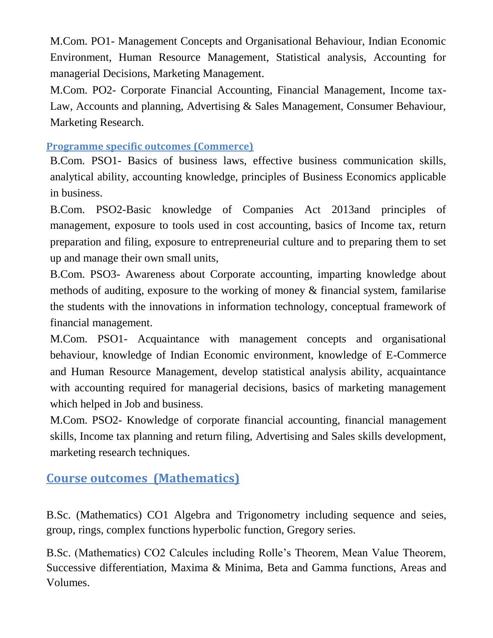M.Com. PO1- Management Concepts and Organisational Behaviour, Indian Economic Environment, Human Resource Management, Statistical analysis, Accounting for managerial Decisions, Marketing Management.

M.Com. PO2- Corporate Financial Accounting, Financial Management, Income tax-Law, Accounts and planning, Advertising & Sales Management, Consumer Behaviour, Marketing Research.

### **Programme specific outcomes (Commerce)**

B.Com. PSO1- Basics of business laws, effective business communication skills, analytical ability, accounting knowledge, principles of Business Economics applicable in business.

B.Com. PSO2-Basic knowledge of Companies Act 2013and principles of management, exposure to tools used in cost accounting, basics of Income tax, return preparation and filing, exposure to entrepreneurial culture and to preparing them to set up and manage their own small units,

B.Com. PSO3- Awareness about Corporate accounting, imparting knowledge about methods of auditing, exposure to the working of money & financial system, familarise the students with the innovations in information technology, conceptual framework of financial management.

M.Com. PSO1- Acquaintance with management concepts and organisational behaviour, knowledge of Indian Economic environment, knowledge of E-Commerce and Human Resource Management, develop statistical analysis ability, acquaintance with accounting required for managerial decisions, basics of marketing management which helped in Job and business.

M.Com. PSO2- Knowledge of corporate financial accounting, financial management skills, Income tax planning and return filing, Advertising and Sales skills development, marketing research techniques.

# **Course outcomes (Mathematics)**

B.Sc. (Mathematics) CO1 Algebra and Trigonometry including sequence and seies, group, rings, complex functions hyperbolic function, Gregory series.

B.Sc. (Mathematics) CO2 Calcules including Rolle's Theorem, Mean Value Theorem, Successive differentiation, Maxima & Minima, Beta and Gamma functions, Areas and Volumes.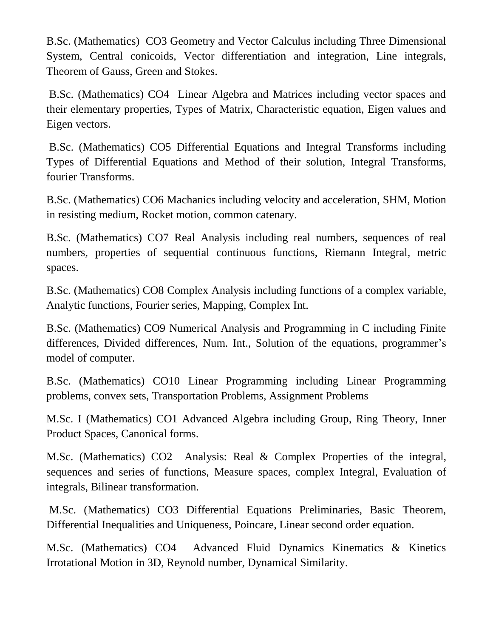B.Sc. (Mathematics) CO3 Geometry and Vector Calculus including Three Dimensional System, Central conicoids, Vector differentiation and integration, Line integrals, Theorem of Gauss, Green and Stokes.

B.Sc. (Mathematics) CO4 Linear Algebra and Matrices including vector spaces and their elementary properties, Types of Matrix, Characteristic equation, Eigen values and Eigen vectors.

B.Sc. (Mathematics) CO5 Differential Equations and Integral Transforms including Types of Differential Equations and Method of their solution, Integral Transforms, fourier Transforms.

B.Sc. (Mathematics) CO6 Machanics including velocity and acceleration, SHM, Motion in resisting medium, Rocket motion, common catenary.

B.Sc. (Mathematics) CO7 Real Analysis including real numbers, sequences of real numbers, properties of sequential continuous functions, Riemann Integral, metric spaces.

B.Sc. (Mathematics) CO8 Complex Analysis including functions of a complex variable, Analytic functions, Fourier series, Mapping, Complex Int.

B.Sc. (Mathematics) CO9 Numerical Analysis and Programming in C including Finite differences, Divided differences, Num. Int., Solution of the equations, programmer's model of computer.

B.Sc. (Mathematics) CO10 Linear Programming including Linear Programming problems, convex sets, Transportation Problems, Assignment Problems

M.Sc. I (Mathematics) CO1 Advanced Algebra including Group, Ring Theory, Inner Product Spaces, Canonical forms.

M.Sc. (Mathematics) CO2 Analysis: Real & Complex Properties of the integral, sequences and series of functions, Measure spaces, complex Integral, Evaluation of integrals, Bilinear transformation.

M.Sc. (Mathematics) CO3 Differential Equations Preliminaries, Basic Theorem, Differential Inequalities and Uniqueness, Poincare, Linear second order equation.

M.Sc. (Mathematics) CO4 Advanced Fluid Dynamics Kinematics & Kinetics Irrotational Motion in 3D, Reynold number, Dynamical Similarity.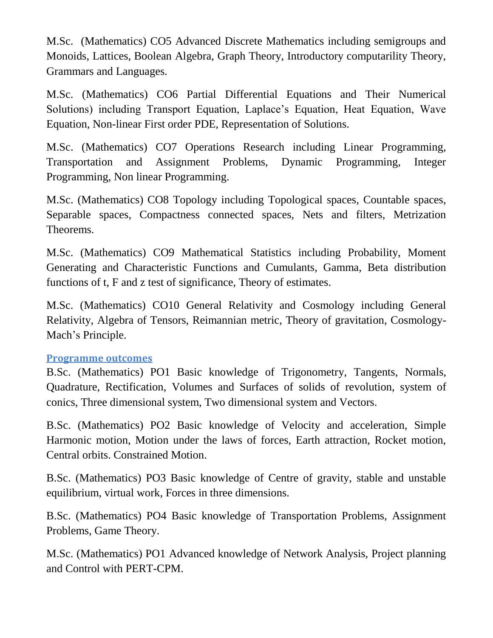M.Sc. (Mathematics) CO5 Advanced Discrete Mathematics including semigroups and Monoids, Lattices, Boolean Algebra, Graph Theory, Introductory computarility Theory, Grammars and Languages.

M.Sc. (Mathematics) CO6 Partial Differential Equations and Their Numerical Solutions) including Transport Equation, Laplace's Equation, Heat Equation, Wave Equation, Non-linear First order PDE, Representation of Solutions.

M.Sc. (Mathematics) CO7 Operations Research including Linear Programming, Transportation and Assignment Problems, Dynamic Programming, Integer Programming, Non linear Programming.

M.Sc. (Mathematics) CO8 Topology including Topological spaces, Countable spaces, Separable spaces, Compactness connected spaces, Nets and filters, Metrization Theorems.

M.Sc. (Mathematics) CO9 Mathematical Statistics including Probability, Moment Generating and Characteristic Functions and Cumulants, Gamma, Beta distribution functions of t, F and z test of significance, Theory of estimates.

M.Sc. (Mathematics) CO10 General Relativity and Cosmology including General Relativity, Algebra of Tensors, Reimannian metric, Theory of gravitation, Cosmology-Mach's Principle.

#### **Programme outcomes**

B.Sc. (Mathematics) PO1 Basic knowledge of Trigonometry, Tangents, Normals, Quadrature, Rectification, Volumes and Surfaces of solids of revolution, system of conics, Three dimensional system, Two dimensional system and Vectors.

B.Sc. (Mathematics) PO2 Basic knowledge of Velocity and acceleration, Simple Harmonic motion, Motion under the laws of forces, Earth attraction, Rocket motion, Central orbits. Constrained Motion.

B.Sc. (Mathematics) PO3 Basic knowledge of Centre of gravity, stable and unstable equilibrium, virtual work, Forces in three dimensions.

B.Sc. (Mathematics) PO4 Basic knowledge of Transportation Problems, Assignment Problems, Game Theory.

M.Sc. (Mathematics) PO1 Advanced knowledge of Network Analysis, Project planning and Control with PERT-CPM.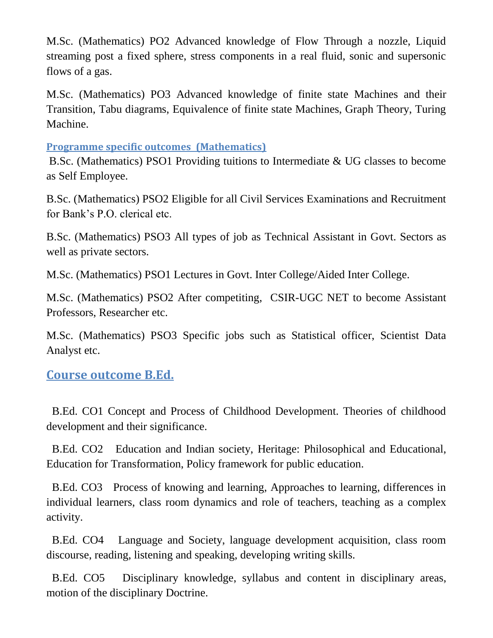M.Sc. (Mathematics) PO2 Advanced knowledge of Flow Through a nozzle, Liquid streaming post a fixed sphere, stress components in a real fluid, sonic and supersonic flows of a gas.

M.Sc. (Mathematics) PO3 Advanced knowledge of finite state Machines and their Transition, Tabu diagrams, Equivalence of finite state Machines, Graph Theory, Turing Machine.

**Programme specific outcomes (Mathematics)**

B.Sc. (Mathematics) PSO1 Providing tuitions to Intermediate & UG classes to become as Self Employee.

B.Sc. (Mathematics) PSO2 Eligible for all Civil Services Examinations and Recruitment for Bank's P.O. clerical etc.

B.Sc. (Mathematics) PSO3 All types of job as Technical Assistant in Govt. Sectors as well as private sectors.

M.Sc. (Mathematics) PSO1 Lectures in Govt. Inter College/Aided Inter College.

M.Sc. (Mathematics) PSO2 After competiting, CSIR-UGC NET to become Assistant Professors, Researcher etc.

M.Sc. (Mathematics) PSO3 Specific jobs such as Statistical officer, Scientist Data Analyst etc.

**Course outcome B.Ed.**

 B.Ed. CO1 Concept and Process of Childhood Development. Theories of childhood development and their significance.

 B.Ed. CO2 Education and Indian society, Heritage: Philosophical and Educational, Education for Transformation, Policy framework for public education.

 B.Ed. CO3 Process of knowing and learning, Approaches to learning, differences in individual learners, class room dynamics and role of teachers, teaching as a complex activity.

 B.Ed. CO4 Language and Society, language development acquisition, class room discourse, reading, listening and speaking, developing writing skills.

 B.Ed. CO5 Disciplinary knowledge, syllabus and content in disciplinary areas, motion of the disciplinary Doctrine.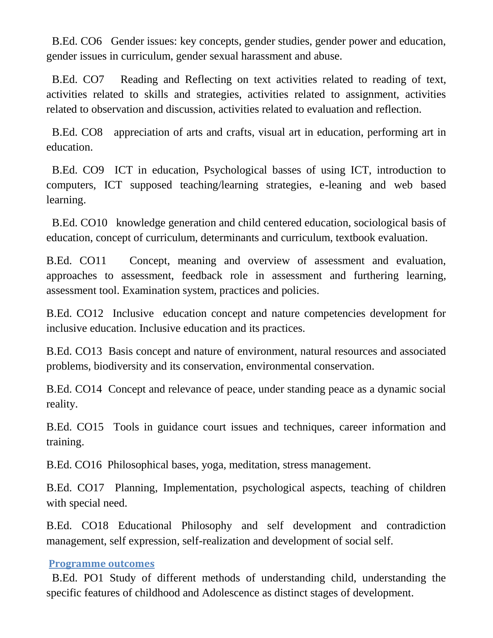B.Ed. CO6 Gender issues: key concepts, gender studies, gender power and education, gender issues in curriculum, gender sexual harassment and abuse.

 B.Ed. CO7 Reading and Reflecting on text activities related to reading of text, activities related to skills and strategies, activities related to assignment, activities related to observation and discussion, activities related to evaluation and reflection.

 B.Ed. CO8 appreciation of arts and crafts, visual art in education, performing art in education.

 B.Ed. CO9 ICT in education, Psychological basses of using ICT, introduction to computers, ICT supposed teaching/learning strategies, e-leaning and web based learning.

 B.Ed. CO10 knowledge generation and child centered education, sociological basis of education, concept of curriculum, determinants and curriculum, textbook evaluation.

B.Ed. CO11 Concept, meaning and overview of assessment and evaluation, approaches to assessment, feedback role in assessment and furthering learning, assessment tool. Examination system, practices and policies.

B.Ed. CO12 Inclusive education concept and nature competencies development for inclusive education. Inclusive education and its practices.

B.Ed. CO13 Basis concept and nature of environment, natural resources and associated problems, biodiversity and its conservation, environmental conservation.

B.Ed. CO14 Concept and relevance of peace, under standing peace as a dynamic social reality.

B.Ed. CO15 Tools in guidance court issues and techniques, career information and training.

B.Ed. CO16 Philosophical bases, yoga, meditation, stress management.

B.Ed. CO17 Planning, Implementation, psychological aspects, teaching of children with special need.

B.Ed. CO18 Educational Philosophy and self development and contradiction management, self expression, self-realization and development of social self.

#### **Programme outcomes**

 B.Ed. PO1 Study of different methods of understanding child, understanding the specific features of childhood and Adolescence as distinct stages of development.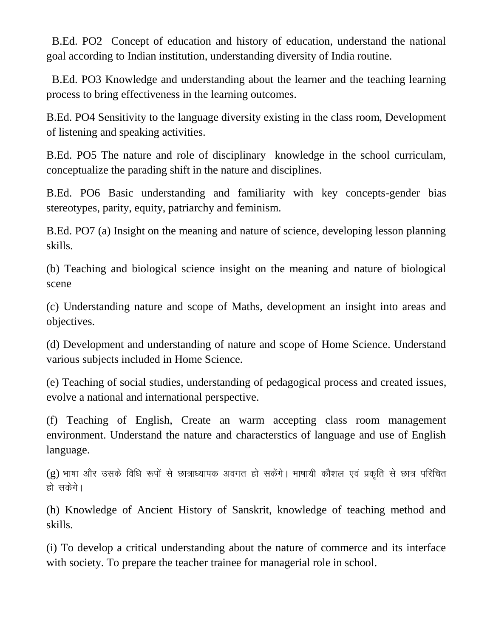B.Ed. PO2 Concept of education and history of education, understand the national goal according to Indian institution, understanding diversity of India routine.

 B.Ed. PO3 Knowledge and understanding about the learner and the teaching learning process to bring effectiveness in the learning outcomes.

B.Ed. PO4 Sensitivity to the language diversity existing in the class room, Development of listening and speaking activities.

B.Ed. PO5 The nature and role of disciplinary knowledge in the school curriculam, conceptualize the parading shift in the nature and disciplines.

B.Ed. PO6 Basic understanding and familiarity with key concepts-gender bias stereotypes, parity, equity, patriarchy and feminism.

B.Ed. PO7 (a) Insight on the meaning and nature of science, developing lesson planning skills.

(b) Teaching and biological science insight on the meaning and nature of biological scene

(c) Understanding nature and scope of Maths, development an insight into areas and objectives.

(d) Development and understanding of nature and scope of Home Science. Understand various subjects included in Home Science.

(e) Teaching of social studies, understanding of pedagogical process and created issues, evolve a national and international perspective.

(f) Teaching of English, Create an warm accepting class room management environment. Understand the nature and characterstics of language and use of English language.

 $(g)$  भाषा और उसके विधि रूपों से छात्राध्यापक अवगत हो सकेंगे। भाषायी कौशल एवं प्रकृति से छात्र परिचित हो सकेगे।

(h) Knowledge of Ancient History of Sanskrit, knowledge of teaching method and skills.

(i) To develop a critical understanding about the nature of commerce and its interface with society. To prepare the teacher trainee for managerial role in school.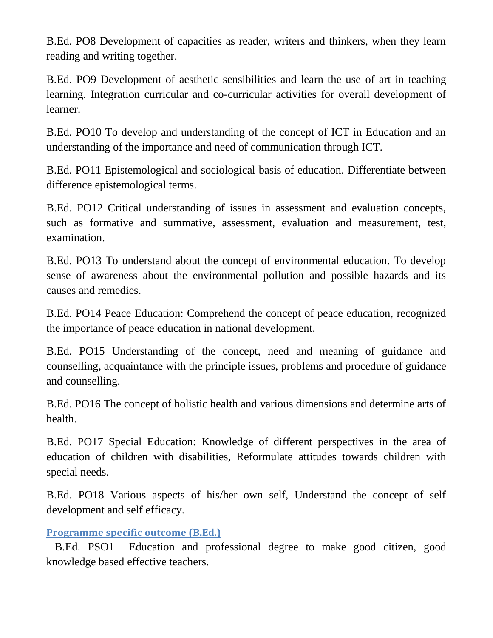B.Ed. PO8 Development of capacities as reader, writers and thinkers, when they learn reading and writing together.

B.Ed. PO9 Development of aesthetic sensibilities and learn the use of art in teaching learning. Integration curricular and co-curricular activities for overall development of learner.

B.Ed. PO10 To develop and understanding of the concept of ICT in Education and an understanding of the importance and need of communication through ICT.

B.Ed. PO11 Epistemological and sociological basis of education. Differentiate between difference epistemological terms.

B.Ed. PO12 Critical understanding of issues in assessment and evaluation concepts, such as formative and summative, assessment, evaluation and measurement, test, examination.

B.Ed. PO13 To understand about the concept of environmental education. To develop sense of awareness about the environmental pollution and possible hazards and its causes and remedies.

B.Ed. PO14 Peace Education: Comprehend the concept of peace education, recognized the importance of peace education in national development.

B.Ed. PO15 Understanding of the concept, need and meaning of guidance and counselling, acquaintance with the principle issues, problems and procedure of guidance and counselling.

B.Ed. PO16 The concept of holistic health and various dimensions and determine arts of health.

B.Ed. PO17 Special Education: Knowledge of different perspectives in the area of education of children with disabilities, Reformulate attitudes towards children with special needs.

B.Ed. PO18 Various aspects of his/her own self, Understand the concept of self development and self efficacy.

## **Programme specific outcome (B.Ed.)**

 B.Ed. PSO1 Education and professional degree to make good citizen, good knowledge based effective teachers.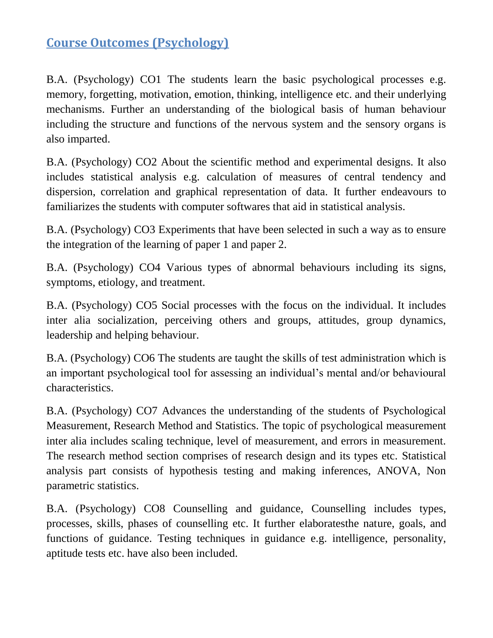# **Course Outcomes (Psychology)**

B.A. (Psychology) CO1 The students learn the basic psychological processes e.g. memory, forgetting, motivation, emotion, thinking, intelligence etc. and their underlying mechanisms. Further an understanding of the biological basis of human behaviour including the structure and functions of the nervous system and the sensory organs is also imparted.

B.A. (Psychology) CO2 About the scientific method and experimental designs. It also includes statistical analysis e.g. calculation of measures of central tendency and dispersion, correlation and graphical representation of data. It further endeavours to familiarizes the students with computer softwares that aid in statistical analysis.

B.A. (Psychology) CO3 Experiments that have been selected in such a way as to ensure the integration of the learning of paper 1 and paper 2.

B.A. (Psychology) CO4 Various types of abnormal behaviours including its signs, symptoms, etiology, and treatment.

B.A. (Psychology) CO5 Social processes with the focus on the individual. It includes inter alia socialization, perceiving others and groups, attitudes, group dynamics, leadership and helping behaviour.

B.A. (Psychology) CO6 The students are taught the skills of test administration which is an important psychological tool for assessing an individual's mental and/or behavioural characteristics.

B.A. (Psychology) CO7 Advances the understanding of the students of Psychological Measurement, Research Method and Statistics. The topic of psychological measurement inter alia includes scaling technique, level of measurement, and errors in measurement. The research method section comprises of research design and its types etc. Statistical analysis part consists of hypothesis testing and making inferences, ANOVA, Non parametric statistics.

B.A. (Psychology) CO8 Counselling and guidance, Counselling includes types, processes, skills, phases of counselling etc. It further elaboratesthe nature, goals, and functions of guidance. Testing techniques in guidance e.g. intelligence, personality, aptitude tests etc. have also been included.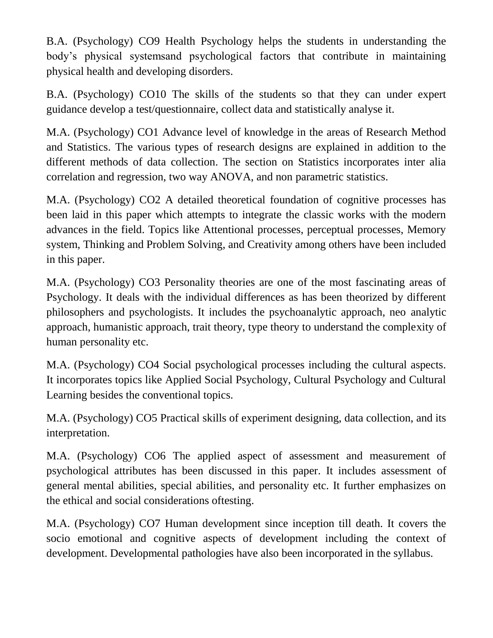B.A. (Psychology) CO9 Health Psychology helps the students in understanding the body's physical systemsand psychological factors that contribute in maintaining physical health and developing disorders.

B.A. (Psychology) CO10 The skills of the students so that they can under expert guidance develop a test/questionnaire, collect data and statistically analyse it.

M.A. (Psychology) CO1 Advance level of knowledge in the areas of Research Method and Statistics. The various types of research designs are explained in addition to the different methods of data collection. The section on Statistics incorporates inter alia correlation and regression, two way ANOVA, and non parametric statistics.

M.A. (Psychology) CO2 A detailed theoretical foundation of cognitive processes has been laid in this paper which attempts to integrate the classic works with the modern advances in the field. Topics like Attentional processes, perceptual processes, Memory system, Thinking and Problem Solving, and Creativity among others have been included in this paper.

M.A. (Psychology) CO3 Personality theories are one of the most fascinating areas of Psychology. It deals with the individual differences as has been theorized by different philosophers and psychologists. It includes the psychoanalytic approach, neo analytic approach, humanistic approach, trait theory, type theory to understand the complexity of human personality etc.

M.A. (Psychology) CO4 Social psychological processes including the cultural aspects. It incorporates topics like Applied Social Psychology, Cultural Psychology and Cultural Learning besides the conventional topics.

M.A. (Psychology) CO5 Practical skills of experiment designing, data collection, and its interpretation.

M.A. (Psychology) CO6 The applied aspect of assessment and measurement of psychological attributes has been discussed in this paper. It includes assessment of general mental abilities, special abilities, and personality etc. It further emphasizes on the ethical and social considerations oftesting.

M.A. (Psychology) CO7 Human development since inception till death. It covers the socio emotional and cognitive aspects of development including the context of development. Developmental pathologies have also been incorporated in the syllabus.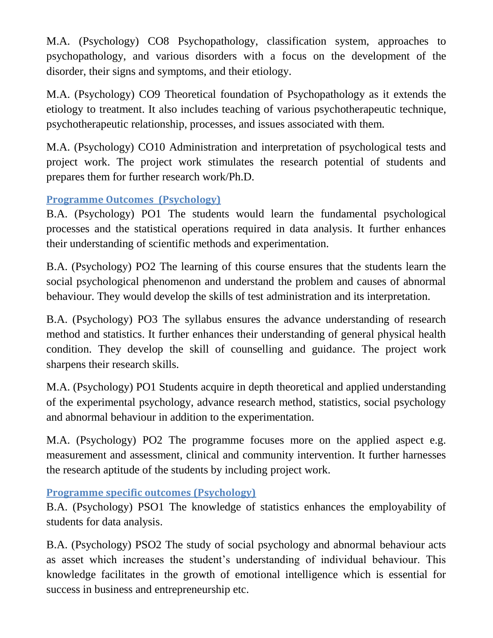M.A. (Psychology) CO8 Psychopathology, classification system, approaches to psychopathology, and various disorders with a focus on the development of the disorder, their signs and symptoms, and their etiology.

M.A. (Psychology) CO9 Theoretical foundation of Psychopathology as it extends the etiology to treatment. It also includes teaching of various psychotherapeutic technique, psychotherapeutic relationship, processes, and issues associated with them.

M.A. (Psychology) CO10 Administration and interpretation of psychological tests and project work. The project work stimulates the research potential of students and prepares them for further research work/Ph.D.

## **Programme Outcomes (Psychology)**

B.A. (Psychology) PO1 The students would learn the fundamental psychological processes and the statistical operations required in data analysis. It further enhances their understanding of scientific methods and experimentation.

B.A. (Psychology) PO2 The learning of this course ensures that the students learn the social psychological phenomenon and understand the problem and causes of abnormal behaviour. They would develop the skills of test administration and its interpretation.

B.A. (Psychology) PO3 The syllabus ensures the advance understanding of research method and statistics. It further enhances their understanding of general physical health condition. They develop the skill of counselling and guidance. The project work sharpens their research skills.

M.A. (Psychology) PO1 Students acquire in depth theoretical and applied understanding of the experimental psychology, advance research method, statistics, social psychology and abnormal behaviour in addition to the experimentation.

M.A. (Psychology) PO2 The programme focuses more on the applied aspect e.g. measurement and assessment, clinical and community intervention. It further harnesses the research aptitude of the students by including project work.

**Programme specific outcomes (Psychology)**

B.A. (Psychology) PSO1 The knowledge of statistics enhances the employability of students for data analysis.

B.A. (Psychology) PSO2 The study of social psychology and abnormal behaviour acts as asset which increases the student's understanding of individual behaviour. This knowledge facilitates in the growth of emotional intelligence which is essential for success in business and entrepreneurship etc.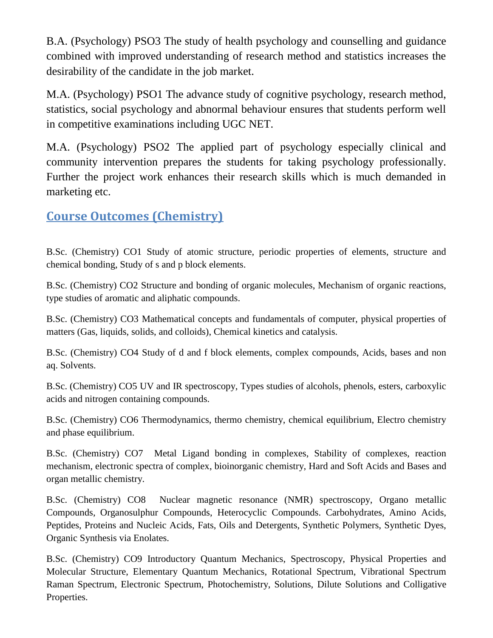B.A. (Psychology) PSO3 The study of health psychology and counselling and guidance combined with improved understanding of research method and statistics increases the desirability of the candidate in the job market.

M.A. (Psychology) PSO1 The advance study of cognitive psychology, research method, statistics, social psychology and abnormal behaviour ensures that students perform well in competitive examinations including UGC NET.

M.A. (Psychology) PSO2 The applied part of psychology especially clinical and community intervention prepares the students for taking psychology professionally. Further the project work enhances their research skills which is much demanded in marketing etc.

# **Course Outcomes (Chemistry)**

B.Sc. (Chemistry) CO1 Study of atomic structure, periodic properties of elements, structure and chemical bonding, Study of s and p block elements.

B.Sc. (Chemistry) CO2 Structure and bonding of organic molecules, Mechanism of organic reactions, type studies of aromatic and aliphatic compounds.

B.Sc. (Chemistry) CO3 Mathematical concepts and fundamentals of computer, physical properties of matters (Gas, liquids, solids, and colloids), Chemical kinetics and catalysis.

B.Sc. (Chemistry) CO4 Study of d and f block elements, complex compounds, Acids, bases and non aq. Solvents.

B.Sc. (Chemistry) CO5 UV and IR spectroscopy, Types studies of alcohols, phenols, esters, carboxylic acids and nitrogen containing compounds.

B.Sc. (Chemistry) CO6 Thermodynamics, thermo chemistry, chemical equilibrium, Electro chemistry and phase equilibrium.

B.Sc. (Chemistry) CO7 Metal Ligand bonding in complexes, Stability of complexes, reaction mechanism, electronic spectra of complex, bioinorganic chemistry, Hard and Soft Acids and Bases and organ metallic chemistry.

B.Sc. (Chemistry) CO8 Nuclear magnetic resonance (NMR) spectroscopy, Organo metallic Compounds, Organosulphur Compounds, Heterocyclic Compounds. Carbohydrates, Amino Acids, Peptides, Proteins and Nucleic Acids, Fats, Oils and Detergents, Synthetic Polymers, Synthetic Dyes, Organic Synthesis via Enolates.

B.Sc. (Chemistry) CO9 Introductory Quantum Mechanics, Spectroscopy, Physical Properties and Molecular Structure, Elementary Quantum Mechanics, Rotational Spectrum, Vibrational Spectrum Raman Spectrum, Electronic Spectrum, Photochemistry, Solutions, Dilute Solutions and Colligative Properties.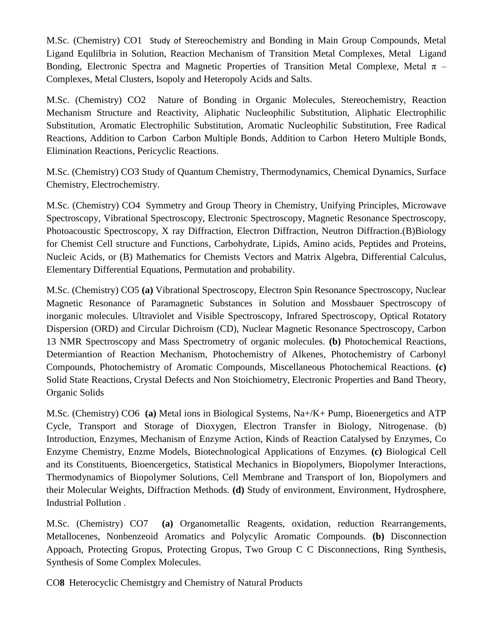M.Sc. (Chemistry) CO1 Study of Stereochemistry and Bonding in Main Group Compounds, Metal Ligand Equlilbria in Solution, Reaction Mechanism of Transition Metal Complexes, Metal Ligand Bonding, Electronic Spectra and Magnetic Properties of Transition Metal Complexe, Metal  $\pi$  – Complexes, Metal Clusters, Isopoly and Heteropoly Acids and Salts.

M.Sc. (Chemistry) CO2 Nature of Bonding in Organic Molecules, Stereochemistry, Reaction Mechanism Structure and Reactivity, Aliphatic Nucleophilic Substitution, Aliphatic Electrophilic Substitution, Aromatic Electrophilic Substitution, Aromatic Nucleophilic Substitution, Free Radical Reactions, Addition to Carbon Carbon Multiple Bonds, Addition to Carbon Hetero Multiple Bonds, Elimination Reactions, Pericyclic Reactions.

M.Sc. (Chemistry) CO3 Study of Quantum Chemistry, Thermodynamics, Chemical Dynamics, Surface Chemistry, Electrochemistry.

M.Sc. (Chemistry) CO4 Symmetry and Group Theory in Chemistry, Unifying Principles, Microwave Spectroscopy, Vibrational Spectroscopy, Electronic Spectroscopy, Magnetic Resonance Spectroscopy, Photoacoustic Spectroscopy, X ray Diffraction, Electron Diffraction, Neutron Diffraction.(B)Biology for Chemist Cell structure and Functions, Carbohydrate, Lipids, Amino acids, Peptides and Proteins, Nucleic Acids, or (B) Mathematics for Chemists Vectors and Matrix Algebra, Differential Calculus, Elementary Differential Equations, Permutation and probability.

M.Sc. (Chemistry) CO5 **(a)** Vibrational Spectroscopy, Electron Spin Resonance Spectroscopy, Nuclear Magnetic Resonance of Paramagnetic Substances in Solution and Mossbauer Spectroscopy of inorganic molecules. Ultraviolet and Visible Spectroscopy, Infrared Spectroscopy, Optical Rotatory Dispersion (ORD) and Circular Dichroism (CD), Nuclear Magnetic Resonance Spectroscopy, Carbon 13 NMR Spectroscopy and Mass Spectrometry of organic molecules. **(b)** Photochemical Reactions, Determiantion of Reaction Mechanism, Photochemistry of Alkenes, Photochemistry of Carbonyl Compounds, Photochemistry of Aromatic Compounds, Miscellaneous Photochemical Reactions. **(c)**  Solid State Reactions, Crystal Defects and Non Stoichiometry, Electronic Properties and Band Theory, Organic Solids

M.Sc. (Chemistry) CO6 **(a)** Metal ions in Biological Systems, Na+/K+ Pump, Bioenergetics and ATP Cycle, Transport and Storage of Dioxygen, Electron Transfer in Biology, Nitrogenase. (b) Introduction, Enzymes, Mechanism of Enzyme Action, Kinds of Reaction Catalysed by Enzymes, Co Enzyme Chemistry, Enzme Models, Biotechnological Applications of Enzymes. **(c)** Biological Cell and its Constituents, Bioencergetics, Statistical Mechanics in Biopolymers, Biopolymer Interactions, Thermodynamics of Biopolymer Solutions, Cell Membrane and Transport of Ion, Biopolymers and their Molecular Weights, Diffraction Methods. **(d)** Study of environment, Environment, Hydrosphere, Industrial Pollution .

M.Sc. (Chemistry) CO7 **(a)** Organometallic Reagents, oxidation, reduction Rearrangements, Metallocenes, Nonbenzeoid Aromatics and Polycylic Aromatic Compounds. **(b)** Disconnection Appoach, Protecting Gropus, Protecting Gropus, Two Group C C Disconnections, Ring Synthesis, Synthesis of Some Complex Molecules.

CO**8** Heterocyclic Chemistgry and Chemistry of Natural Products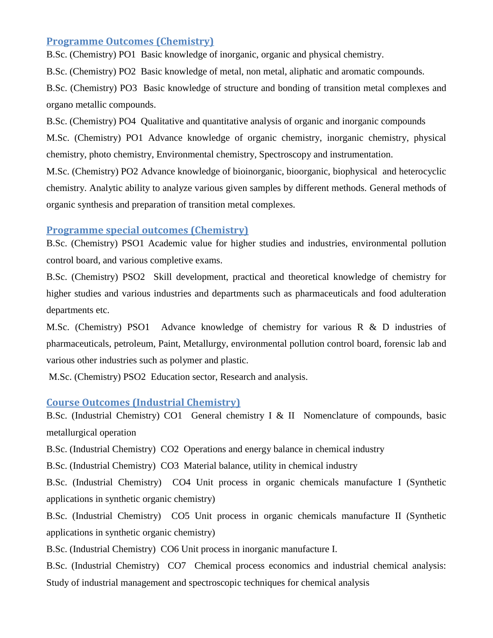#### **Programme Outcomes (Chemistry)**

B.Sc. (Chemistry) PO1 Basic knowledge of inorganic, organic and physical chemistry.

B.Sc. (Chemistry) PO2 Basic knowledge of metal, non metal, aliphatic and aromatic compounds.

B.Sc. (Chemistry) PO3 Basic knowledge of structure and bonding of transition metal complexes and organo metallic compounds.

B.Sc. (Chemistry) PO4 Qualitative and quantitative analysis of organic and inorganic compounds

M.Sc. (Chemistry) PO1 Advance knowledge of organic chemistry, inorganic chemistry, physical chemistry, photo chemistry, Environmental chemistry, Spectroscopy and instrumentation.

M.Sc. (Chemistry) PO2 Advance knowledge of bioinorganic, bioorganic, biophysical and heterocyclic chemistry. Analytic ability to analyze various given samples by different methods. General methods of organic synthesis and preparation of transition metal complexes.

#### **Programme special outcomes (Chemistry)**

B.Sc. (Chemistry) PSO1 Academic value for higher studies and industries, environmental pollution control board, and various completive exams.

B.Sc. (Chemistry) PSO2 Skill development, practical and theoretical knowledge of chemistry for higher studies and various industries and departments such as pharmaceuticals and food adulteration departments etc.

M.Sc. (Chemistry) PSO1 Advance knowledge of chemistry for various R & D industries of pharmaceuticals, petroleum, Paint, Metallurgy, environmental pollution control board, forensic lab and various other industries such as polymer and plastic.

M.Sc. (Chemistry) PSO2 Education sector, Research and analysis.

#### **Course Outcomes (Industrial Chemistry)**

B.Sc. (Industrial Chemistry) CO1 General chemistry I & II Nomenclature of compounds, basic metallurgical operation

B.Sc. (Industrial Chemistry) CO2 Operations and energy balance in chemical industry

B.Sc. (Industrial Chemistry) CO3 Material balance, utility in chemical industry

B.Sc. (Industrial Chemistry) CO4 Unit process in organic chemicals manufacture I (Synthetic applications in synthetic organic chemistry)

B.Sc. (Industrial Chemistry) CO5 Unit process in organic chemicals manufacture II (Synthetic applications in synthetic organic chemistry)

B.Sc. (Industrial Chemistry) CO6 Unit process in inorganic manufacture I.

B.Sc. (Industrial Chemistry) CO7 Chemical process economics and industrial chemical analysis: Study of industrial management and spectroscopic techniques for chemical analysis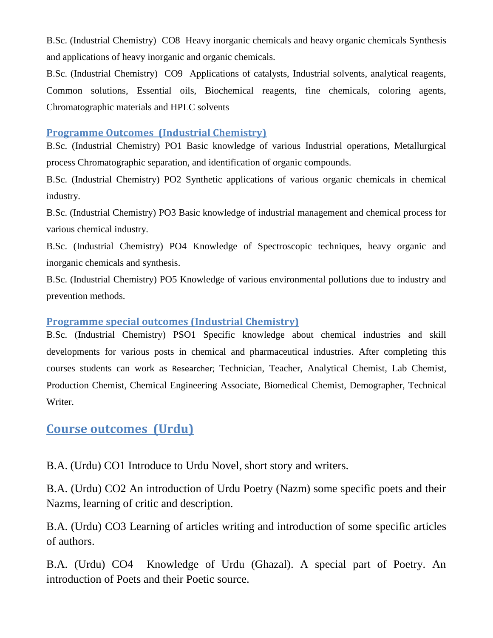B.Sc. (Industrial Chemistry) CO8 Heavy inorganic chemicals and heavy organic chemicals Synthesis and applications of heavy inorganic and organic chemicals.

B.Sc. (Industrial Chemistry) CO9 Applications of catalysts, Industrial solvents, analytical reagents, Common solutions, Essential oils, Biochemical reagents, fine chemicals, coloring agents, Chromatographic materials and HPLC solvents

#### **Programme Outcomes (Industrial Chemistry)**

B.Sc. (Industrial Chemistry) PO1 Basic knowledge of various Industrial operations, Metallurgical process Chromatographic separation, and identification of organic compounds.

B.Sc. (Industrial Chemistry) PO2 Synthetic applications of various organic chemicals in chemical industry.

B.Sc. (Industrial Chemistry) PO3 Basic knowledge of industrial management and chemical process for various chemical industry.

B.Sc. (Industrial Chemistry) PO4 Knowledge of Spectroscopic techniques, heavy organic and inorganic chemicals and synthesis.

B.Sc. (Industrial Chemistry) PO5 Knowledge of various environmental pollutions due to industry and prevention methods.

#### **Programme special outcomes (Industrial Chemistry)**

B.Sc. (Industrial Chemistry) PSO1 Specific knowledge about chemical industries and skill developments for various posts in chemical and pharmaceutical industries. After completing this courses students can work as Researcher; Technician, Teacher, Analytical Chemist, Lab Chemist, Production Chemist, Chemical Engineering Associate, Biomedical Chemist, Demographer, Technical Writer.

## **Course outcomes (Urdu)**

B.A. (Urdu) CO1 Introduce to Urdu Novel, short story and writers.

B.A. (Urdu) CO2 An introduction of Urdu Poetry (Nazm) some specific poets and their Nazms, learning of critic and description.

B.A. (Urdu) CO3 Learning of articles writing and introduction of some specific articles of authors.

B.A. (Urdu) CO4 Knowledge of Urdu (Ghazal). A special part of Poetry. An introduction of Poets and their Poetic source.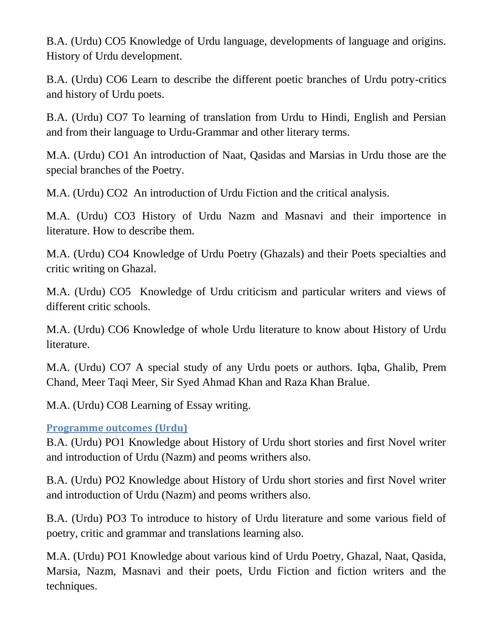B.A. (Urdu) CO5 Knowledge of Urdu language, developments of language and origins. History of Urdu development.

B.A. (Urdu) CO6 Learn to describe the different poetic branches of Urdu potry-critics and history of Urdu poets.

B.A. (Urdu) CO7 To learning of translation from Urdu to Hindi, English and Persian and from their language to Urdu-Grammar and other literary terms.

M.A. (Urdu) CO1 An introduction of Naat, Qasidas and Marsias in Urdu those are the special branches of the Poetry.

M.A. (Urdu) CO2 An introduction of Urdu Fiction and the critical analysis.

M.A. (Urdu) CO3 History of Urdu Nazm and Masnavi and their importence in literature. How to describe them.

M.A. (Urdu) CO4 Knowledge of Urdu Poetry (Ghazals) and their Poets specialties and critic writing on Ghazal.

M.A. (Urdu) CO5 Knowledge of Urdu criticism and particular writers and views of different critic schools.

M.A. (Urdu) CO6 Knowledge of whole Urdu literature to know about History of Urdu literature.

M.A. (Urdu) CO7 A special study of any Urdu poets or authors. Iqba, Ghalib, Prem Chand, Meer Taqi Meer, Sir Syed Ahmad Khan and Raza Khan Bralue.

M.A. (Urdu) CO8 Learning of Essay writing.

## **Programme outcomes (Urdu)**

B.A. (Urdu) PO1 Knowledge about History of Urdu short stories and first Novel writer and introduction of Urdu (Nazm) and peoms writhers also.

B.A. (Urdu) PO2 Knowledge about History of Urdu short stories and first Novel writer and introduction of Urdu (Nazm) and peoms writhers also.

B.A. (Urdu) PO3 To introduce to history of Urdu literature and some various field of poetry, critic and grammar and translations learning also.

M.A. (Urdu) PO1 Knowledge about various kind of Urdu Poetry, Ghazal, Naat, Qasida, Marsia, Nazm, Masnavi and their poets, Urdu Fiction and fiction writers and the techniques.